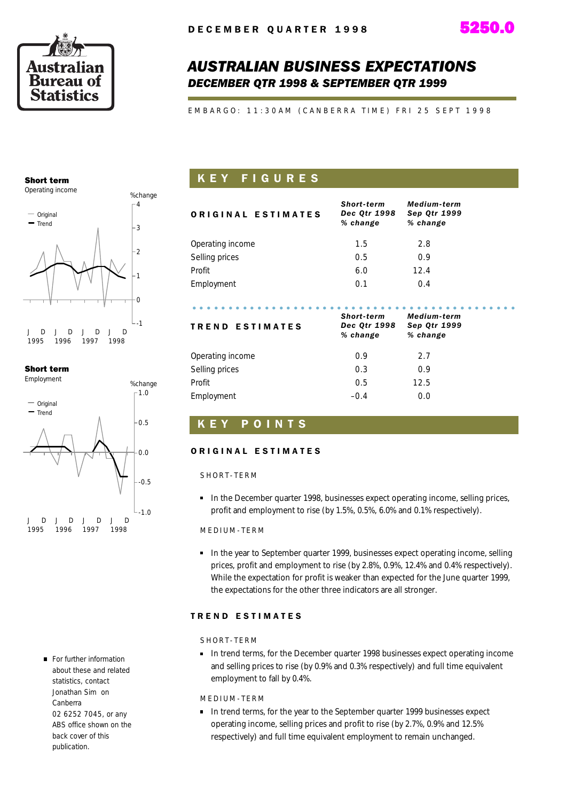

# *AUSTRALIAN BUSINESS EXPECTATIONS DECEMBER QTR 1998 & SEPTEMBER QTR 1999*

E M B A R G O : 11:30 A M ( C A N B E R R A T I M E ) F R I 25 S E P T 1998

# Short term



### Short term



For further information about these and related statistics, contact Jonathan Sim on Canberra 02 6252 7045, or any ABS office shown on the back cover of this publication.

# K E Y F I G U R E S

| <b>ORIGINAL ESTIMATES</b> | Short-term<br><b>Dec Qtr 1998</b><br>% change | <b>Medium-term</b><br><b>Sep Qtr 1999</b><br>% change |  |
|---------------------------|-----------------------------------------------|-------------------------------------------------------|--|
| Operating income          | 1.5                                           | 2.8                                                   |  |
| Selling prices            | 0.5                                           | 0.9                                                   |  |
| Profit                    | 6.0                                           | 12.4                                                  |  |
| Employment                | 0.1                                           | 0.4                                                   |  |
|                           | Short-term                                    | <b>Medium-term</b>                                    |  |
| <b>TREND ESTIMATES</b>    | Dec Qtr 1998<br>% change                      | <b>Sep Qtr 1999</b><br>% change                       |  |
| Operating income          | 0.9                                           | 2.7                                                   |  |
| Selling prices            | 0.3                                           | 0.9                                                   |  |
| Profit                    | 0.5                                           | 12.5                                                  |  |

Employment 6.0

## K E Y P O I N T S

### ORIGINAL ESTIMATES

### SHORT-TERM

**In the December quarter 1998, businesses expect operating income, selling prices,** profit and employment to rise (by 1.5%, 0.5%, 6.0% and 0.1% respectively).

### MED I UM - TERM

**In the year to September quarter 1999, businesses expect operating income, selling** prices, profit and employment to rise (by 2.8%, 0.9%, 12.4% and 0.4% respectively). While the expectation for profit is weaker than expected for the June quarter 1999, the expectations for the other three indicators are all stronger.

### TREND ESTIMATES

### SHORT-TERM

In trend terms, for the December quarter 1998 businesses expect operating income and selling prices to rise (by 0.9% and 0.3% respectively) and full time equivalent employment to fall by 0.4%.

### M E D I U M - T E R M

In trend terms, for the year to the September quarter 1999 businesses expect operating income, selling prices and profit to rise (by 2.7%, 0.9% and 12.5% respectively) and full time equivalent employment to remain unchanged.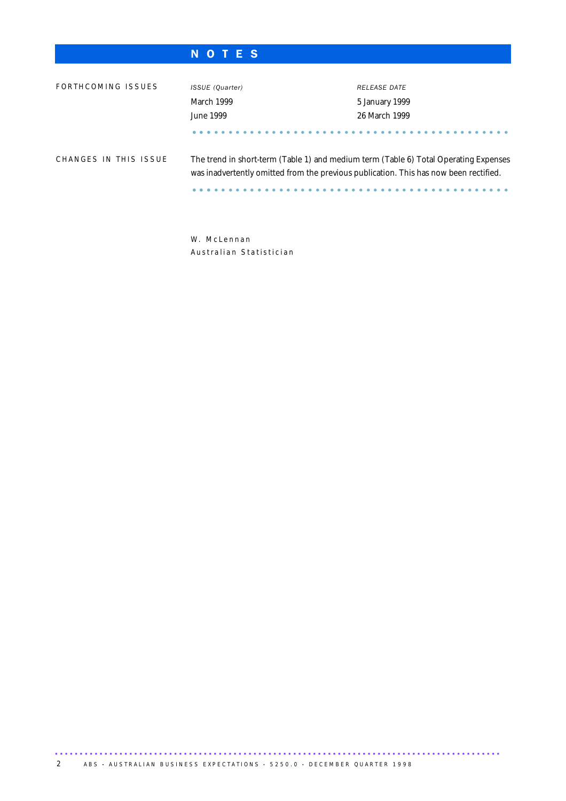# N O T E S

| FORTHCOMING ISSUES    | ISSUE (Quarter)<br>March 1999<br>June 1999                                                                                                                                    | RELEASE DATE<br>5 January 1999<br>26 March 1999 |
|-----------------------|-------------------------------------------------------------------------------------------------------------------------------------------------------------------------------|-------------------------------------------------|
| CHANGES IN THIS ISSUE | The trend in short-term (Table 1) and medium term (Table 6) Total Operating Expenses<br>was inadvertently omitted from the previous publication. This has now been rectified. |                                                 |

W. McLennan Australian Statistician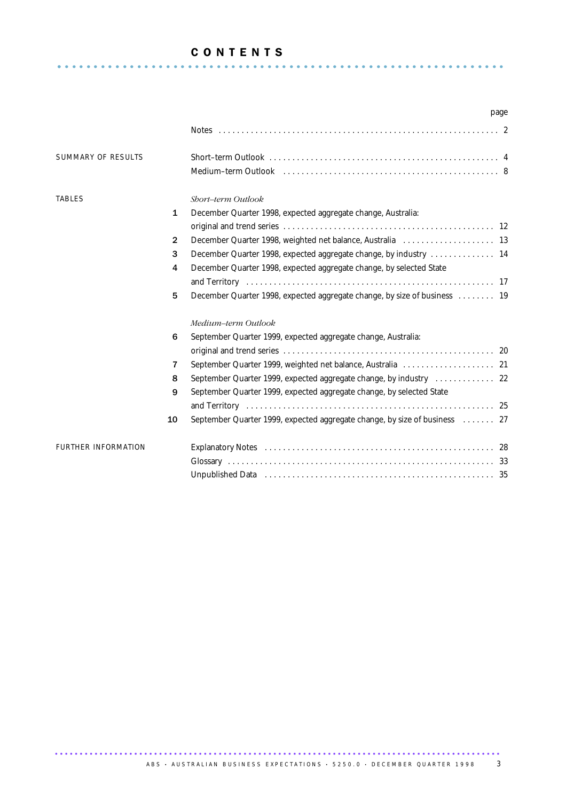### C O N T E N T S ............................................................. . .

|                            |              |                                                                                                                                                                                                                                                                                                        | page |
|----------------------------|--------------|--------------------------------------------------------------------------------------------------------------------------------------------------------------------------------------------------------------------------------------------------------------------------------------------------------|------|
|                            |              |                                                                                                                                                                                                                                                                                                        |      |
| SUMMARY OF RESULTS         |              |                                                                                                                                                                                                                                                                                                        |      |
| <b>TABLES</b>              | $\mathbf{1}$ | Short-term Outlook                                                                                                                                                                                                                                                                                     |      |
|                            |              | December Quarter 1998, expected aggregate change, Australia:                                                                                                                                                                                                                                           |      |
|                            | $\mathbf{2}$ |                                                                                                                                                                                                                                                                                                        |      |
|                            | 3            | December Quarter 1998, expected aggregate change, by industry  14                                                                                                                                                                                                                                      |      |
|                            | 4            | December Quarter 1998, expected aggregate change, by selected State                                                                                                                                                                                                                                    |      |
|                            |              |                                                                                                                                                                                                                                                                                                        |      |
|                            | 5            | December Quarter 1998, expected aggregate change, by size of business 19                                                                                                                                                                                                                               |      |
|                            |              | Medium-term Outlook                                                                                                                                                                                                                                                                                    |      |
|                            | 6            | September Quarter 1999, expected aggregate change, Australia:                                                                                                                                                                                                                                          |      |
|                            |              |                                                                                                                                                                                                                                                                                                        |      |
|                            | 7            |                                                                                                                                                                                                                                                                                                        |      |
|                            | 8            | September Quarter 1999, expected aggregate change, by industry  22                                                                                                                                                                                                                                     |      |
|                            | 9            | September Quarter 1999, expected aggregate change, by selected State<br>and Territory (and Territory and Territory and Territory and Territory and Territory and Territory and Territory and Territory and Territory and Territory and Territory and Territory and Territory and Territory and Territo |      |
|                            | 10           | September Quarter 1999, expected aggregate change, by size of business  27                                                                                                                                                                                                                             |      |
| <b>FURTHER INFORMATION</b> |              |                                                                                                                                                                                                                                                                                                        |      |
|                            |              |                                                                                                                                                                                                                                                                                                        |      |
|                            |              | Unpublished Data (and all and all and all and all and all and all and all and all and all and all and all and $35$                                                                                                                                                                                     |      |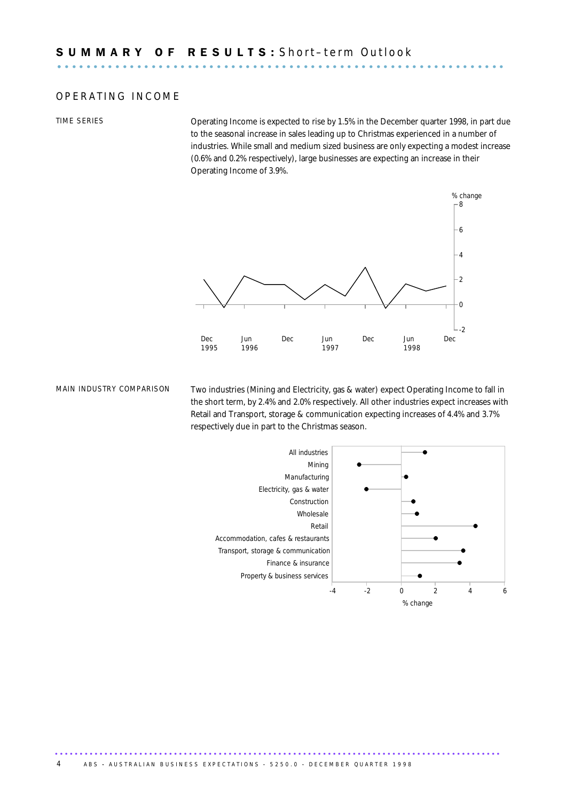### OPERATING INCOME

TIME SERIES Operating Income is expected to rise by 1.5% in the December quarter 1998, in part due to the seasonal increase in sales leading up to Christmas experienced in a number of industries. While small and medium sized business are only expecting a modest increase (0.6% and 0.2% respectively), large businesses are expecting an increase in their Operating Income of 3.9%.



MAIN INDUSTRY COMPARISON Two industries (Mining and Electricity, gas & water) expect Operating Income to fall in the short term, by 2.4% and 2.0% respectively. All other industries expect increases with Retail and Transport, storage & communication expecting increases of 4.4% and 3.7% respectively due in part to the Christmas season.

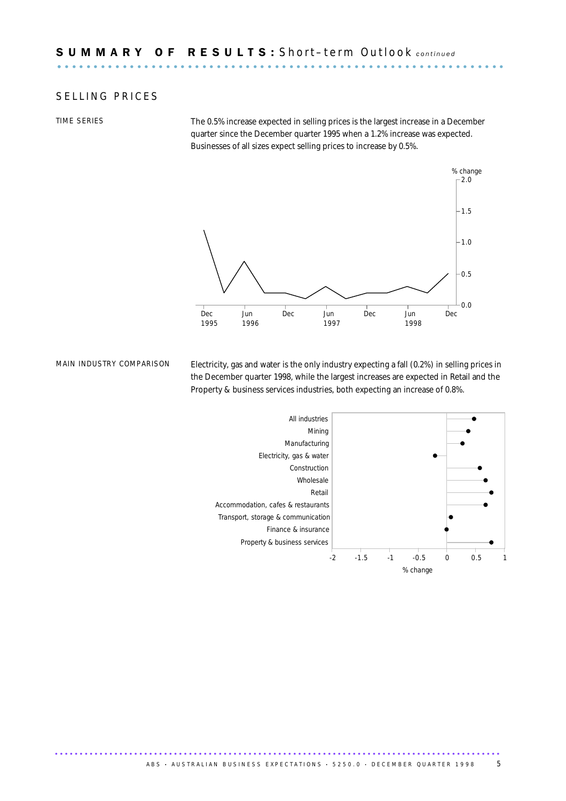### SELLING PRICES

TIME SERIES THE 0.5% increase expected in selling prices is the largest increase in a December quarter since the December quarter 1995 when a 1.2% increase was expected. Businesses of all sizes expect selling prices to increase by 0.5%.



MAIN INDUSTRY COMPARISON Electricity, gas and water is the only industry expecting a fall (0.2%) in selling prices in the December quarter 1998, while the largest increases are expected in Retail and the Property & business services industries, both expecting an increase of 0.8%.

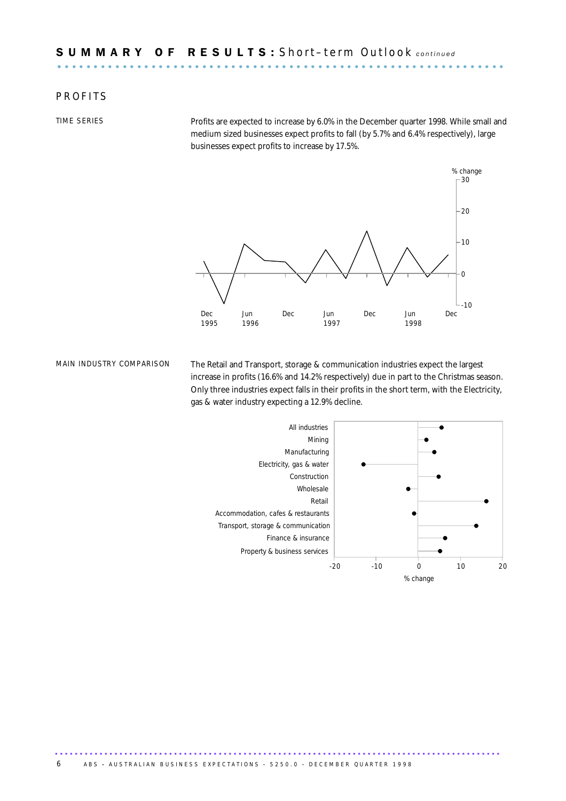### **P R O F I T S**

TIME SERIES Profits are expected to increase by 6.0% in the December quarter 1998. While small and medium sized businesses expect profits to fall (by 5.7% and 6.4% respectively), large businesses expect profits to increase by 17.5%.



MAIN INDUSTRY COMPARISON The Retail and Transport, storage & communication industries expect the largest increase in profits (16.6% and 14.2% respectively) due in part to the Christmas season. Only three industries expect falls in their profits in the short term, with the Electricity, gas & water industry expecting a 12.9% decline.

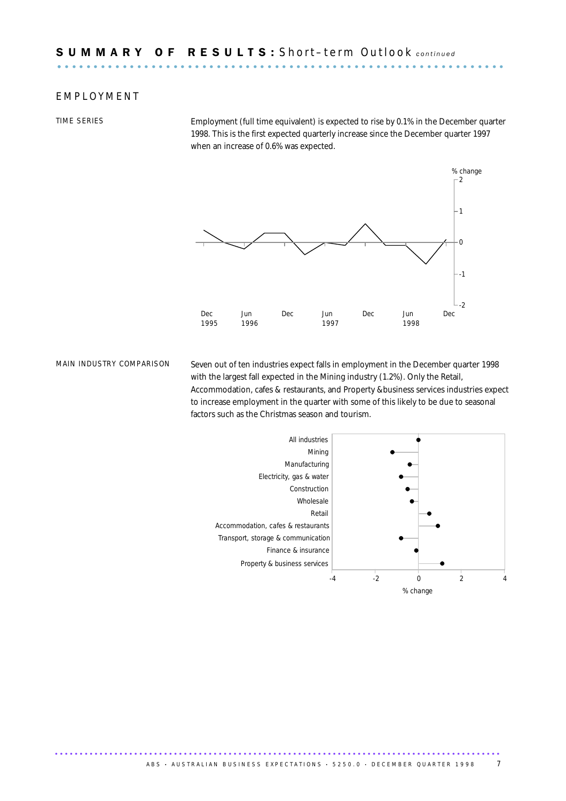### E M P L O Y M E N T

TIME SERIES Employment (full time equivalent) is expected to rise by 0.1% in the December quarter 1998. This is the first expected quarterly increase since the December quarter 1997 when an increase of 0.6% was expected.



MAIN INDUSTRY COMPARISON Seven out of ten industries expect falls in employment in the December quarter 1998 with the largest fall expected in the Mining industry (1.2%). Only the Retail, Accommodation, cafes & restaurants, and Property &business services industries expect to increase employment in the quarter with some of this likely to be due to seasonal factors such as the Christmas season and tourism.

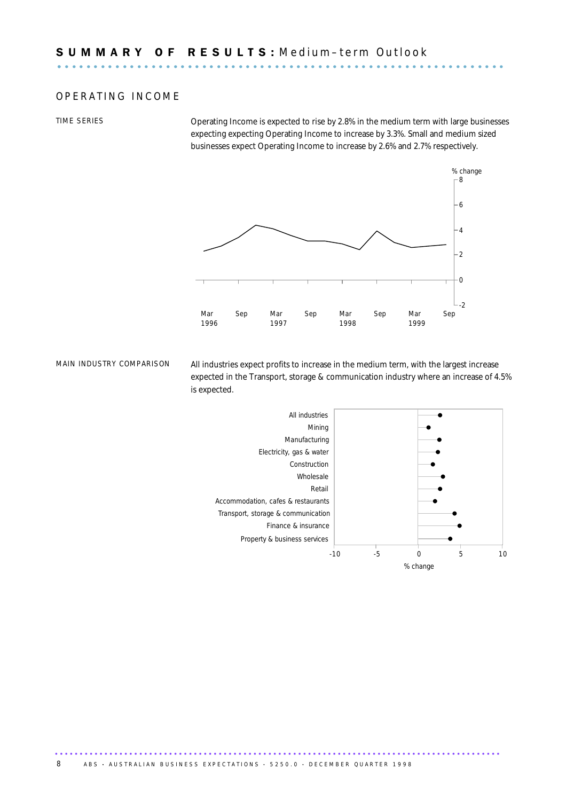### OPERATING INCOME

TIME SERIES Operating Income is expected to rise by 2.8% in the medium term with large businesses expecting expecting Operating Income to increase by 3.3%. Small and medium sized businesses expect Operating Income to increase by 2.6% and 2.7% respectively.



MAIN INDUSTRY COMPARISON All industries expect profits to increase in the medium term, with the largest increase expected in the Transport, storage & communication industry where an increase of 4.5% is expected.

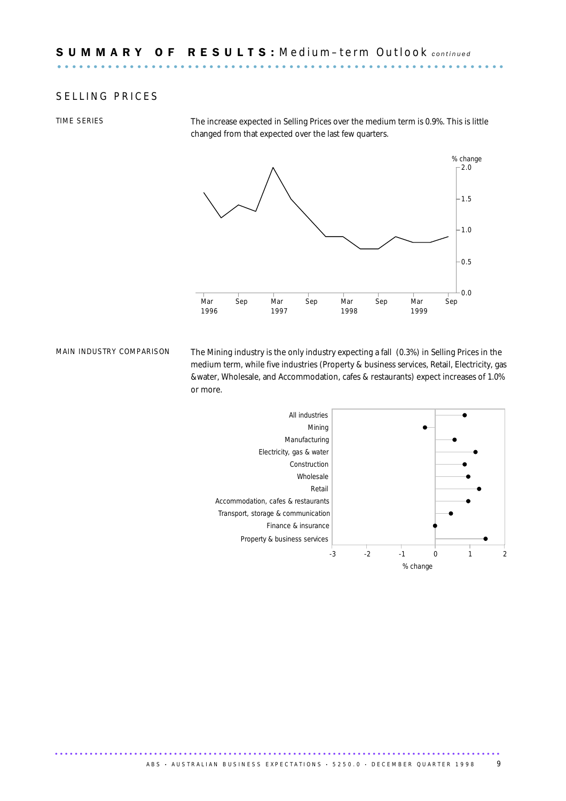### SELLING PRICES

TIME SERIES The increase expected in Selling Prices over the medium term is 0.9%. This is little changed from that expected over the last few quarters.



MAIN INDUSTRY COMPARISON The Mining industry is the only industry expecting a fall (0.3%) in Selling Prices in the medium term, while five industries (Property & business services, Retail, Electricity, gas &water, Wholesale, and Accommodation, cafes & restaurants) expect increases of 1.0% or more.

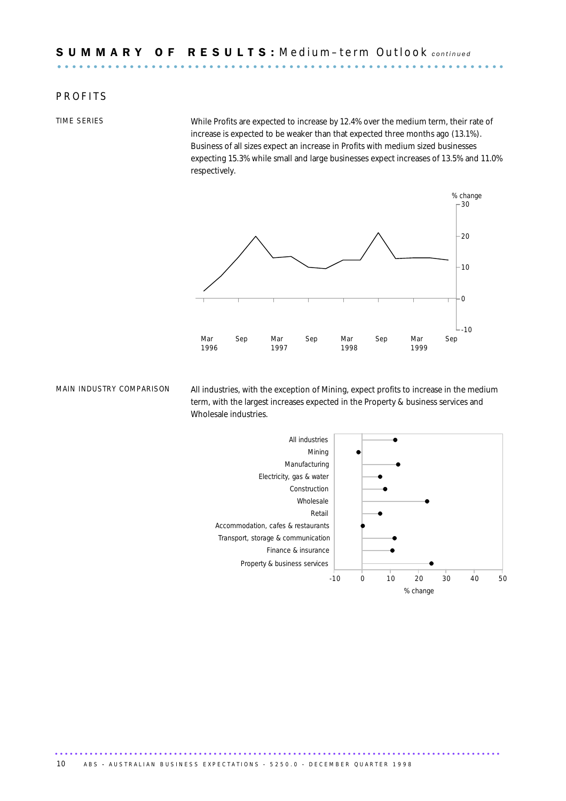### **PROFITS**

TIME SERIES While Profits are expected to increase by 12.4% over the medium term, their rate of increase is expected to be weaker than that expected three months ago (13.1%). Business of all sizes expect an increase in Profits with medium sized businesses expecting 15.3% while small and large businesses expect increases of 13.5% and 11.0% respectively.



MAIN INDUSTRY COMPARISON All industries, with the exception of Mining, expect profits to increase in the medium term, with the largest increases expected in the Property & business services and Wholesale industries.

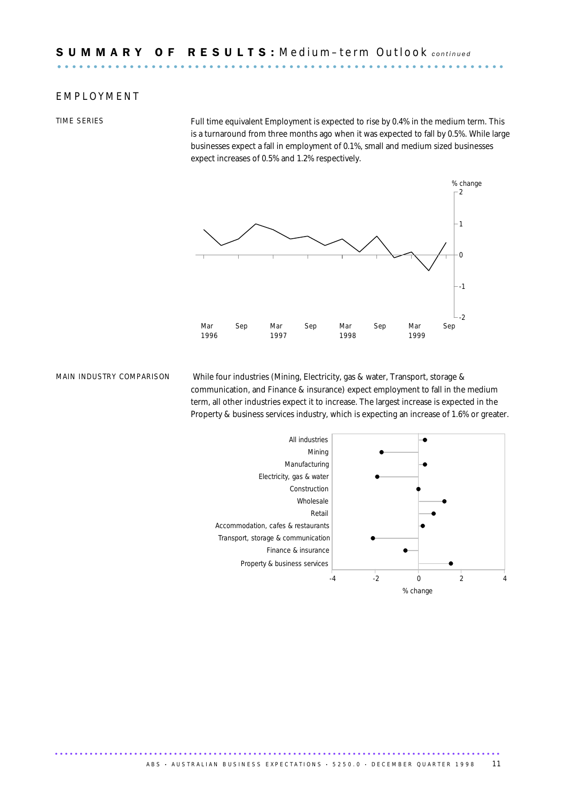### E M P L O Y M E N T

TIME SERIES Full time equivalent Employment is expected to rise by 0.4% in the medium term. This is a turnaround from three months ago when it was expected to fall by 0.5%. While large businesses expect a fall in employment of 0.1%, small and medium sized businesses expect increases of 0.5% and 1.2% respectively.



MAIN INDUSTRY COMPARISON While four industries (Mining, Electricity, gas & water, Transport, storage & communication, and Finance & insurance) expect employment to fall in the medium term, all other industries expect it to increase. The largest increase is expected in the Property & business services industry, which is expecting an increase of 1.6% or greater.

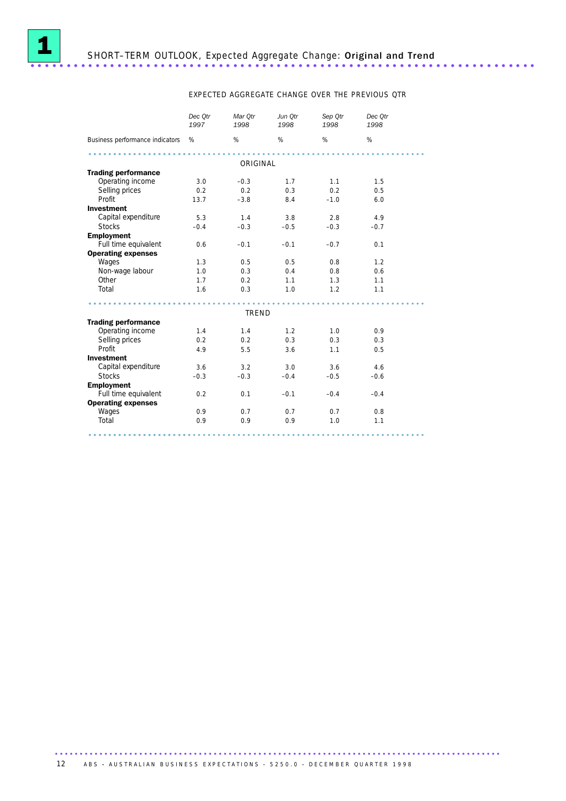

### EXPECTED AGGREGATE CHANGE OVER THE PREVIOUS QTR

|                                 | Dec Otr<br>1997 | Mar Otr<br>1998 | Jun Otr<br>1998 | Sep Otr<br>1998 | Dec Otr<br>1998 |
|---------------------------------|-----------------|-----------------|-----------------|-----------------|-----------------|
| Business performance indicators | %               | $\%$            | %               | %               | %               |
|                                 |                 | ORIGINAL        |                 |                 |                 |
| <b>Trading performance</b>      |                 |                 |                 |                 |                 |
| Operating income                | 3.0             | $-0.3$          | 1.7             | 1.1             | 1.5             |
| Selling prices                  | 0.2             | 0.2             | 0.3             | 0.2             | 0.5             |
| Profit                          | 13.7            | $-3.8$          | 8.4             | $-1.0$          | 6.0             |
| <b>Investment</b>               |                 |                 |                 |                 |                 |
| Capital expenditure             | 5.3             | 1.4             | 3.8             | 2.8             | 4.9             |
| <b>Stocks</b>                   | $-0.4$          | $-0.3$          | $-0.5$          | $-0.3$          | $-0.7$          |
| <b>Employment</b>               |                 |                 |                 |                 |                 |
| Full time equivalent            | 0.6             | $-0.1$          | $-0.1$          | $-0.7$          | 0.1             |
| <b>Operating expenses</b>       |                 |                 |                 |                 |                 |
| Wages                           | 1.3             | 0.5             | 0.5             | 0.8             | 1.2             |
| Non-wage labour                 | 1.0             | 0.3             | 0.4             | 0.8             | 0.6             |
| Other                           | 1.7             | 0.2             | 1.1             | 1.3             | 1.1             |
| Total                           | 1.6             | 0.3             | 1.0             | 1.2             | 1.1             |
|                                 |                 | <b>TREND</b>    |                 |                 |                 |
| <b>Trading performance</b>      |                 |                 |                 |                 |                 |
| Operating income                | 1.4             | 1.4             | 1.2             | 1.0             | 0.9             |
| Selling prices                  | 0.2             | 0.2             | 0.3             | 0.3             | 0.3             |
| Profit                          | 4.9             | 5.5             | 3.6             | 1.1             | 0.5             |
| <b>Investment</b>               |                 |                 |                 |                 |                 |
| Capital expenditure             | 3.6             | 3.2             | 3.0             | 3.6             | 4.6             |
| <b>Stocks</b>                   | $-0.3$          | $-0.3$          | $-0.4$          | $-0.5$          | $-0.6$          |
| <b>Employment</b>               |                 |                 |                 |                 |                 |
| Full time equivalent            | 0.2             | 0.1             | $-0.1$          | $-0.4$          | $-0.4$          |
| <b>Operating expenses</b>       |                 |                 |                 |                 |                 |
| Wages                           | 0.9             | 0.7             | 0.7             | 0.7             | 0.8             |
| Total                           | 0.9             | 0.9             | 0.9             | 1.0             | 1.1             |
|                                 |                 |                 |                 |                 |                 |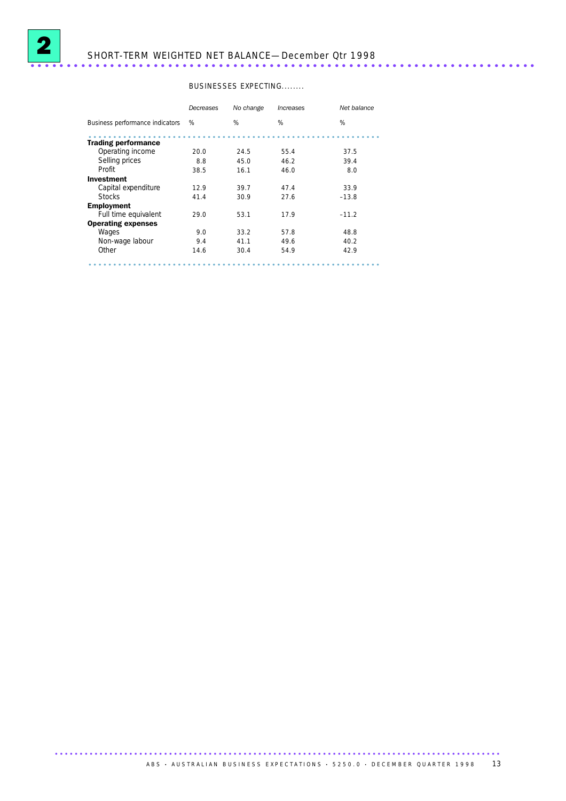

# SHORT-TERM WEIGHTED NET BALANCE—December Qtr 1998 ......................................................................

### BUSINESSES EXPECTING........

|                                 | Decreases | No change | Increases | Net balance |
|---------------------------------|-----------|-----------|-----------|-------------|
| Business performance indicators | %         | %         | %         | %           |
| <b>Trading performance</b>      |           |           |           |             |
| Operating income                | 20.0      | 24.5      | 55.4      | 37.5        |
| Selling prices                  | 8.8       | 45.0      | 46.2      | 39.4        |
| Profit                          | 38.5      | 16.1      | 46.0      | 8.0         |
| Investment                      |           |           |           |             |
| Capital expenditure             | 12.9      | 39.7      | 47.4      | 33.9        |
| <b>Stocks</b>                   | 41.4      | 30.9      | 27.6      | $-13.8$     |
| <b>Employment</b>               |           |           |           |             |
| Full time equivalent            | 29.0      | 53.1      | 17.9      | $-11.2$     |
| <b>Operating expenses</b>       |           |           |           |             |
| Wages                           | 9.0       | 33.2      | 57.8      | 48.8        |
| Non-wage labour                 | 9.4       | 41.1      | 49.6      | 40.2        |
| Other                           | 14.6      | 30.4      | 54.9      | 42.9        |
|                                 |           |           |           |             |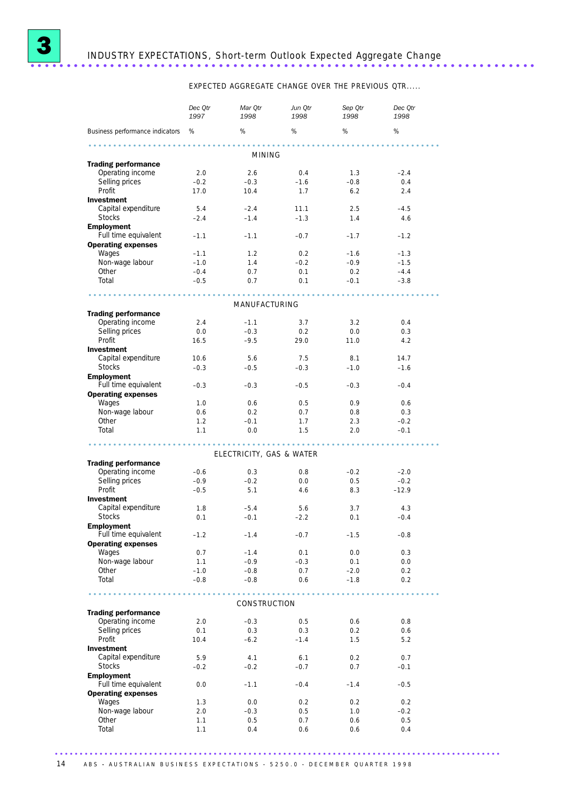

# INDUSTRY EXPECTATIONS, Short-term Outlook Expected Aggregate Change ......................................................................

EXPECTED AGGREGATE CHANGE OVER THE PREVIOUS QTR.....

|                                      | Dec Qtr<br>1997 | Mar Qtr<br>1998          | Jun Qtr<br>1998 | Sep Qtr<br>1998 | Dec Qtr<br>1998 |  |
|--------------------------------------|-----------------|--------------------------|-----------------|-----------------|-----------------|--|
| Business performance indicators %    |                 | %                        | %               | %               | %               |  |
|                                      |                 | <b>MINING</b>            |                 |                 |                 |  |
| <b>Trading performance</b>           |                 |                          |                 |                 |                 |  |
| Operating income                     | 2.0             | 2.6                      | 0.4             | 1.3             | $-2.4$          |  |
| Selling prices                       | $-0.2$          | $-0.3$                   | $-1.6$          | $-0.8$          | 0.4             |  |
| Profit                               | 17.0            | 10.4                     | 1.7             | 6.2             | 2.4             |  |
| <b>Investment</b>                    |                 |                          |                 |                 |                 |  |
| Capital expenditure                  | 5.4             | $-2.4$                   | 11.1            | 2.5             | $-4.5$          |  |
| <b>Stocks</b>                        | $-2.4$          | $-1.4$                   | $-1.3$          | 1.4             | 4.6             |  |
| <b>Employment</b>                    |                 |                          |                 |                 |                 |  |
| Full time equivalent                 | $-1.1$          | $-1.1$                   | $-0.7$          | $-1.7$          | $-1.2$          |  |
| <b>Operating expenses</b><br>Wages   | $-1.1$          | 1.2                      | 0.2             | $-1.6$          | $-1.3$          |  |
| Non-wage labour                      | $-1.0$          | 1.4                      | $-0.2$          | $-0.9$          | $-1.5$          |  |
| Other                                | $-0.4$          | 0.7                      | 0.1             | 0.2             | $-4.4$          |  |
| Total                                | $-0.5$          | 0.7                      | 0.1             | $-0.1$          | $-3.8$          |  |
|                                      |                 |                          |                 |                 |                 |  |
|                                      |                 | MANUFACTURING            |                 |                 |                 |  |
| <b>Trading performance</b>           |                 |                          |                 |                 |                 |  |
| Operating income                     | 2.4             | $-1.1$                   | 3.7             | 3.2             | 0.4             |  |
| Selling prices                       | 0.0             | $-0.3$                   | 0.2             | 0.0             | 0.3             |  |
| Profit                               | 16.5            | $-9.5$                   | 29.0            | 11.0            | 4.2             |  |
| <b>Investment</b>                    |                 |                          |                 |                 |                 |  |
| Capital expenditure<br><b>Stocks</b> | 10.6<br>$-0.3$  | 5.6<br>$-0.5$            | 7.5<br>$-0.3$   | 8.1<br>$-1.0$   | 14.7<br>$-1.6$  |  |
| <b>Employment</b>                    |                 |                          |                 |                 |                 |  |
| Full time equivalent                 | $-0.3$          | $-0.3$                   | $-0.5$          | $-0.3$          | $-0.4$          |  |
| <b>Operating expenses</b>            |                 |                          |                 |                 |                 |  |
| Wages                                | 1.0             | 0.6                      | 0.5             | 0.9             | 0.6             |  |
| Non-wage labour                      | 0.6             | 0.2                      | 0.7             | 0.8             | 0.3             |  |
| Other                                | 1.2             | $-0.1$                   | 1.7             | 2.3             | $-0.2$          |  |
| Total                                | 1.1             | 0.0                      | 1.5             | 2.0             | $-0.1$          |  |
|                                      |                 |                          |                 |                 |                 |  |
| <b>Trading performance</b>           |                 | ELECTRICITY, GAS & WATER |                 |                 |                 |  |
| Operating income                     | $-0.6$          | 0.3                      | 0.8             | $-0.2$          | $-2.0$          |  |
| Selling prices                       | $-0.9$          | $-0.2$                   | 0.0             | 0.5             | $-0.2$          |  |
| Profit                               | $-0.5$          | 5.1                      | 4.6             | 8.3             | $-12.9$         |  |
| <b>Investment</b>                    |                 |                          |                 |                 |                 |  |
| Capital expenditure                  | 1.8             | $-5.4$                   | 5.6             | 3.7             | 4.3             |  |
| <b>Stocks</b>                        | 0.1             | $-0.1$                   | $-2.2$          | 0.1             | $-0.4$          |  |
| <b>Employment</b>                    |                 |                          |                 |                 |                 |  |
| Full time equivalent                 | $-1.2$          | $-1.4$                   | $-0.7$          | $-1.5$          | $-0.8$          |  |
| <b>Operating expenses</b>            |                 |                          |                 |                 |                 |  |
| Wages                                | 0.7             | $-1.4$                   | 0.1             | 0.0             | 0.3             |  |
| Non-wage labour<br>Other             | 1.1<br>$-1.0$   | $-0.9$                   | $-0.3$<br>0.7   | 0.1<br>$-2.0$   | 0.0<br>0.2      |  |
| Total                                | $-0.8$          | $-0.8$<br>$-0.8$         | 0.6             | $-1.8$          | 0.2             |  |
|                                      |                 |                          |                 |                 |                 |  |
|                                      |                 | CONSTRUCTION             |                 |                 |                 |  |
| <b>Trading performance</b>           |                 |                          |                 |                 |                 |  |
| Operating income                     | 2.0             | $-0.3$                   | 0.5             | 0.6             | 0.8             |  |
| Selling prices                       | 0.1             | 0.3                      | 0.3             | 0.2             | 0.6             |  |
| Profit                               | 10.4            | $-6.2$                   | $-1.4$          | 1.5             | 5.2             |  |
| Investment                           |                 |                          |                 |                 |                 |  |
| Capital expenditure                  | 5.9             | 4.1                      | 6.1             | 0.2             | 0.7             |  |
| <b>Stocks</b>                        | $-0.2$          | $-0.2$                   | $-0.7$          | 0.7             | $-0.1$          |  |
| <b>Employment</b>                    |                 |                          |                 |                 |                 |  |
| Full time equivalent                 | 0.0             | $-1.1$                   | $-0.4$          | $-1.4$          | $-0.5$          |  |
| <b>Operating expenses</b><br>Wages   |                 |                          |                 |                 |                 |  |
| Non-wage labour                      | 1.3<br>2.0      | 0.0<br>$-0.3$            | 0.2<br>0.5      | 0.2<br>1.0      | 0.2<br>$-0.2$   |  |
| Other                                | 1.1             | 0.5                      | 0.7             | 0.6             | 0.5             |  |
| Total                                | 1.1             | 0.4                      | 0.6             | 0.6             | 0.4             |  |
|                                      |                 |                          |                 |                 |                 |  |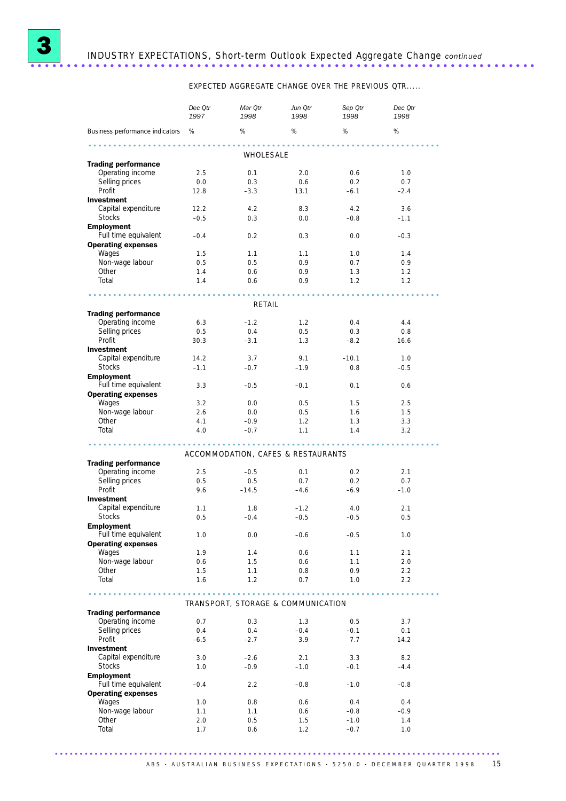

EXPECTED AGGREGATE CHANGE OVER THE PREVIOUS QTR.....

|                                                   | Dec Qtr<br>1997 | Mar Qtr<br>1998                    | Jun Otr<br>1998   | Sep Qtr<br>1998 | Dec Qtr<br>1998 |  |
|---------------------------------------------------|-----------------|------------------------------------|-------------------|-----------------|-----------------|--|
| Business performance indicators %                 |                 | %                                  | %                 | %               | %               |  |
| .                                                 |                 |                                    |                   |                 |                 |  |
|                                                   |                 | WHOLESALE                          |                   |                 |                 |  |
| <b>Trading performance</b><br>Operating income    | 2.5             | 0.1                                | 2.0               | 0.6             | 1.0             |  |
| Selling prices                                    | 0.0             | 0.3                                | 0.6               | 0.2             | 0.7             |  |
| Profit                                            | 12.8            | $-3.3$                             | 13.1              | $-6.1$          | $-2.4$          |  |
| <b>Investment</b>                                 |                 |                                    |                   |                 |                 |  |
| Capital expenditure                               | 12.2            | 4.2                                | 8.3               | 4.2             | 3.6             |  |
| <b>Stocks</b>                                     | $-0.5$          | 0.3                                | 0.0               | $-0.8$          | $-1.1$          |  |
| <b>Employment</b><br>Full time equivalent         | $-0.4$          | 0.2                                | 0.3               | 0.0             | $-0.3$          |  |
| <b>Operating expenses</b>                         |                 |                                    |                   |                 |                 |  |
| Wages                                             | 1.5             | 1.1                                | 1.1               | 1.0             | 1.4             |  |
| Non-wage labour                                   | 0.5             | 0.5                                | 0.9               | 0.7             | 0.9             |  |
| Other                                             | 1.4             | 0.6                                | 0.9               | 1.3             | 1.2             |  |
| Total                                             | 1.4             | 0.6                                | 0.9               | 1.2             | 1.2             |  |
|                                                   |                 |                                    | <b>AAAAAAAAAA</b> | <b>AAAAAAA</b>  |                 |  |
|                                                   |                 | RETAIL                             |                   |                 |                 |  |
| <b>Trading performance</b><br>Operating income    | 6.3             | $-1.2$                             | 1.2               | 0.4             | 4.4             |  |
| Selling prices                                    | 0.5             | 0.4                                | 0.5               | 0.3             | 0.8             |  |
| Profit                                            | 30.3            | $-3.1$                             | 1.3               | $-8.2$          | 16.6            |  |
| <b>Investment</b>                                 |                 |                                    |                   |                 |                 |  |
| Capital expenditure                               | 14.2            | 3.7                                | 9.1               | $-10.1$         | 1.0             |  |
| <b>Stocks</b>                                     | $-1.1$          | $-0.7$                             | $-1.9$            | 0.8             | $-0.5$          |  |
| <b>Employment</b>                                 |                 |                                    |                   |                 |                 |  |
| Full time equivalent<br><b>Operating expenses</b> | 3.3             | $-0.5$                             | $-0.1$            | 0.1             | 0.6             |  |
| Wages                                             | 3.2             | 0.0                                | 0.5               | 1.5             | 2.5             |  |
| Non-wage labour                                   | 2.6             | 0.0                                | 0.5               | 1.6             | 1.5             |  |
| Other                                             | 4.1             | $-0.9$                             | 1.2               | 1.3             | 3.3             |  |
| Total                                             | 4.0             | $-0.7$                             | 1.1               | 1.4             | 3.2             |  |
|                                                   |                 |                                    |                   |                 |                 |  |
|                                                   |                 | ACCOMMODATION, CAFES & RESTAURANTS |                   |                 |                 |  |
| <b>Trading performance</b>                        |                 |                                    |                   |                 |                 |  |
| Operating income                                  | 2.5             | $-0.5$                             | 0.1               | 0.2             | 2.1             |  |
| Selling prices<br>Profit                          | 0.5<br>9.6      | 0.5<br>$-14.5$                     | 0.7<br>$-4.6$     | 0.2<br>$-6.9$   | 0.7<br>$-1.0$   |  |
| <b>Investment</b>                                 |                 |                                    |                   |                 |                 |  |
| Capital expenditure                               | 1.1             | 1.8                                | $-1.2$            | 4.0             | 2.1             |  |
| <b>Stocks</b>                                     | 0.5             | $-0.4$                             | $-0.5$            | $-0.5$          | 0.5             |  |
| <b>Employment</b>                                 |                 |                                    |                   |                 |                 |  |
| Full time equivalent                              | 1.0             | 0.0                                | $-0.6$            | $-0.5$          | 1.0             |  |
| <b>Operating expenses</b><br>Wages                | 1.9             | 1.4                                | 0.6               | 1.1             | 2.1             |  |
| Non-wage labour                                   | 0.6             | 1.5                                | 0.6               | 1.1             | 2.0             |  |
| Other                                             | 1.5             | 1.1                                | 0.8               | 0.9             | 2.2             |  |
| Total                                             | 1.6             | 1.2                                | 0.7               | 1.0             | 2.2             |  |
|                                                   |                 |                                    |                   |                 |                 |  |
|                                                   |                 | TRANSPORT, STORAGE & COMMUNICATION |                   |                 |                 |  |
| <b>Trading performance</b>                        |                 |                                    |                   |                 |                 |  |
| Operating income                                  | 0.7             | 0.3                                | 1.3               | 0.5             | 3.7             |  |
| Selling prices<br>Profit                          | 0.4             | 0.4<br>$-2.7$                      | $-0.4$<br>3.9     | $-0.1$<br>7.7   | 0.1<br>14.2     |  |
| Investment                                        | $-6.5$          |                                    |                   |                 |                 |  |
| Capital expenditure                               | 3.0             | $-2.6$                             | 2.1               | 3.3             | 8.2             |  |
| <b>Stocks</b>                                     | 1.0             | $-0.9$                             | $-1.0$            | $-0.1$          | $-4.4$          |  |
| <b>Employment</b>                                 |                 |                                    |                   |                 |                 |  |
| Full time equivalent                              | $-0.4$          | 2.2                                | $-0.8$            | $-1.0$          | $-0.8$          |  |
| <b>Operating expenses</b><br>Wages                |                 |                                    |                   |                 |                 |  |
| Non-wage labour                                   | 1.0<br>1.1      | 0.8<br>1.1                         | 0.6<br>0.6        | 0.4<br>$-0.8$   | 0.4<br>$-0.9$   |  |
| Other                                             | 2.0             | 0.5                                | 1.5               | $-1.0$          | 1.4             |  |
| Total                                             | 1.7             | 0.6                                | 1.2               | $-0.7$          | 1.0             |  |
|                                                   |                 |                                    |                   |                 |                 |  |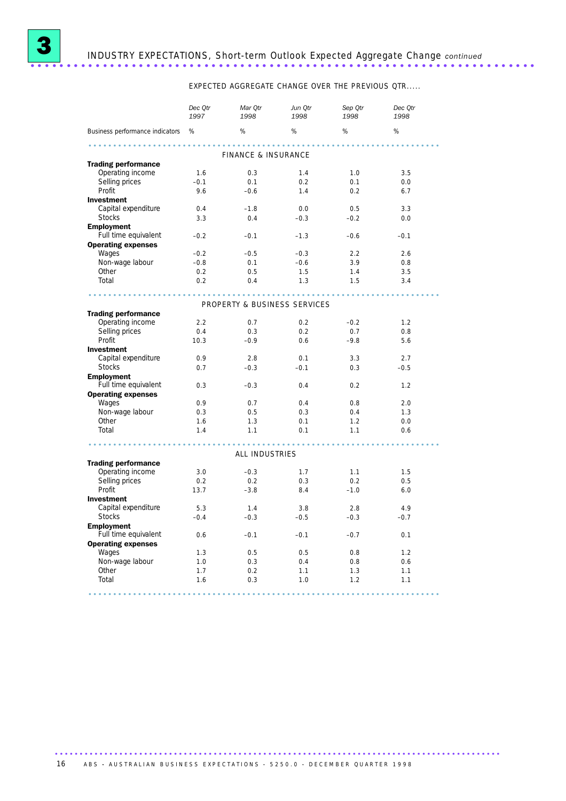

# 3 INDUSTRY EXPECTATIONS, Short-term Outlook Expected Aggregate Change *continued* ......................................................................

EXPECTED AGGREGATE CHANGE OVER THE PREVIOUS QTR.....

|                                 | Dec Qtr<br>1997 | Mar Qtr<br>1998              | Jun Qtr<br>1998 | Sep Qtr<br>1998 | Dec Qtr<br>1998 |
|---------------------------------|-----------------|------------------------------|-----------------|-----------------|-----------------|
| Business performance indicators | %               | $\%$                         | $\%$            | $\%$            | %               |
|                                 |                 | FINANCE & INSURANCE          |                 |                 |                 |
| <b>Trading performance</b>      |                 |                              |                 |                 |                 |
| Operating income                | 1.6             | 0.3                          | 1.4             | 1.0             | 3.5             |
| Selling prices                  | $-0.1$          | 0.1                          | 0.2             | 0.1             | 0.0             |
| Profit                          | 9.6             | $-0.6$                       | 1.4             | 0.2             | 6.7             |
| <b>Investment</b>               |                 |                              |                 |                 |                 |
| Capital expenditure             | 0.4             | $-1.8$                       | 0.0             | 0.5             | 3.3             |
| <b>Stocks</b>                   | 3.3             | 0.4                          | $-0.3$          | $-0.2$          | 0.0             |
| <b>Employment</b>               |                 |                              |                 |                 |                 |
| Full time equivalent            | $-0.2$          | $-0.1$                       | $-1.3$          | $-0.6$          | $-0.1$          |
| <b>Operating expenses</b>       |                 |                              |                 |                 |                 |
| Wages                           | $-0.2$          | $-0.5$                       | $-0.3$          | 2.2             | 2.6             |
| Non-wage labour                 | $-0.8$          | 0.1                          | $-0.6$          | 3.9             | 0.8             |
| Other                           | 0.2             | 0.5                          | 1.5             | 1.4             | 3.5             |
| Total                           | 0.2             | 0.4                          |                 | 1.5             |                 |
|                                 |                 |                              | 1.3             |                 | 3.4             |
|                                 |                 |                              |                 |                 |                 |
|                                 |                 | PROPERTY & BUSINESS SERVICES |                 |                 |                 |
| <b>Trading performance</b>      |                 |                              |                 |                 |                 |
| Operating income                | 2.2             | 0.7                          | 0.2             | $-0.2$          | 1.2             |
| Selling prices                  | 0.4             | 0.3                          | 0.2             | 0.7             | 0.8             |
| Profit                          | 10.3            | $-0.9$                       | 0.6             | $-9.8$          | 5.6             |
| <b>Investment</b>               |                 |                              |                 |                 |                 |
| Capital expenditure             | 0.9             | 2.8                          | 0.1             | 3.3             | 2.7             |
| <b>Stocks</b>                   | 0.7             | $-0.3$                       | $-0.1$          | 0.3             | $-0.5$          |
| <b>Employment</b>               |                 |                              |                 |                 |                 |
| Full time equivalent            | 0.3             | $-0.3$                       | 0.4             | 0.2             | 1.2             |
| <b>Operating expenses</b>       |                 |                              |                 |                 |                 |
| Wages                           | 0.9             | 0.7                          | 0.4             | 0.8             | 2.0             |
| Non-wage labour                 | 0.3             | 0.5                          | 0.3             | 0.4             | 1.3             |
| Other                           | 1.6             | 1.3                          | 0.1             | 1.2             | 0.0             |
| Total                           | 1.4             | 1.1                          | 0.1             | 1.1             | 0.6             |
|                                 |                 |                              |                 |                 |                 |
|                                 |                 | ALL INDUSTRIES               |                 |                 |                 |
| <b>Trading performance</b>      |                 |                              |                 |                 |                 |
| Operating income                | 3.0             | $-0.3$                       | 1.7             | 1.1             | 1.5             |
| Selling prices                  | 0.2             | 0.2                          | 0.3             | 0.2             | 0.5             |
| Profit                          | 13.7            | $-3.8$                       | 8.4             | $-1.0$          | 6.0             |
| <b>Investment</b>               |                 |                              |                 |                 |                 |
| Capital expenditure             | 5.3             | 1.4                          | 3.8             | 2.8             | 4.9             |
| <b>Stocks</b>                   | $-0.4$          | $-0.3$                       | $-0.5$          | $-0.3$          | $-0.7$          |
| <b>Employment</b>               |                 |                              |                 |                 |                 |
| Full time equivalent            | 0.6             | $-0.1$                       | $-0.1$          | $-0.7$          | 0.1             |
| <b>Operating expenses</b>       |                 |                              |                 |                 |                 |
| Wages                           | 1.3             | 0.5                          | 0.5             | 0.8             | 1.2             |
| Non-wage labour                 | 1.0             | 0.3                          | 0.4             | 0.8             | 0.6             |
| Other                           | 1.7             | 0.2                          | 1.1             | 1.3             | 1.1             |
| Total                           | 1.6             | 0.3                          | 1.0             | 1.2             | 1.1             |
|                                 |                 |                              |                 |                 |                 |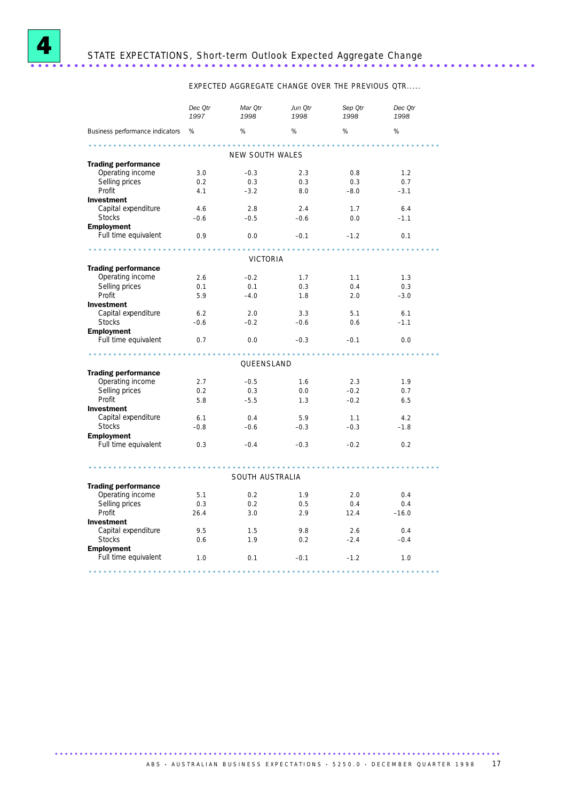

# <sup>4</sup> STATE EXPECTATIONS, Short-term Outlook Expected Aggregate Change ......................................................................

EXPECTED AGGREGATE CHANGE OVER THE PREVIOUS QTR.....

|                                                | Dec Qtr<br>1997 | Mar Qtr<br>1998 | Jun Qtr<br>1998 | Sep Qtr<br>1998 | Dec Qtr<br>1998 |
|------------------------------------------------|-----------------|-----------------|-----------------|-----------------|-----------------|
| Business performance indicators %              |                 | %               | %               | %               | %               |
|                                                |                 | NEW SOUTH WALES |                 |                 |                 |
| <b>Trading performance</b>                     |                 |                 |                 |                 |                 |
| Operating income                               | 3.0             | $-0.3$          | 2.3             | 0.8             | 1.2             |
| Selling prices                                 | 0.2             | 0.3             | 0.3             | 0.3             | 0.7             |
| Profit                                         | 4.1             | $-3.2$          | 8.0             | $-8.0$          | $-3.1$          |
| <b>Investment</b>                              |                 |                 |                 |                 |                 |
| Capital expenditure                            | 4.6             | 2.8             | 2.4             | 1.7             | 6.4             |
| <b>Stocks</b>                                  | $-0.6$          | $-0.5$          | $-0.6$          | 0.0             | $-1.1$          |
| <b>Employment</b>                              |                 |                 |                 |                 |                 |
| Full time equivalent                           | 0.9             | 0.0             | $-0.1$          | $-1.2$          | 0.1             |
| .                                              |                 |                 |                 |                 |                 |
|                                                |                 | VICTORIA        |                 |                 |                 |
| <b>Trading performance</b><br>Operating income | 2.6             | $-0.2$          | 1.7             | 1.1             | 1.3             |
| Selling prices                                 | 0.1             | 0.1             | 0.3             | 0.4             | 0.3             |
| Profit                                         |                 | $-4.0$          |                 |                 |                 |
| Investment                                     | 5.9             |                 | 1.8             | 2.0             | $-3.0$          |
| Capital expenditure                            | 6.2             | 2.0             | 3.3             |                 |                 |
| <b>Stocks</b>                                  | $-0.6$          | $-0.2$          | $-0.6$          | 5.1<br>0.6      | 6.1<br>$-1.1$   |
| <b>Employment</b>                              |                 |                 |                 |                 |                 |
| Full time equivalent                           | 0.7             | 0.0             | $-0.3$          | $-0.1$          | 0.0             |
|                                                |                 |                 |                 |                 |                 |
|                                                |                 | QUEENSLAND      |                 |                 |                 |
| <b>Trading performance</b>                     |                 |                 |                 |                 |                 |
| Operating income                               | 2.7             | $-0.5$          | 1.6             | 2.3             | 1.9             |
| Selling prices                                 | 0.2             | 0.3             | 0.0             | $-0.2$          | 0.7             |
| Profit                                         | 5.8             | $-5.5$          | 1.3             | $-0.2$          | 6.5             |
| Investment                                     |                 |                 |                 |                 |                 |
| Capital expenditure                            | 6.1             | 0.4             | 5.9             | 1.1             | 4.2             |
| <b>Stocks</b>                                  | $-0.8$          | $-0.6$          | $-0.3$          | $-0.3$          | $-1.8$          |
| <b>Employment</b>                              |                 |                 |                 |                 |                 |
| Full time equivalent                           | 0.3             | $-0.4$          | $-0.3$          | $-0.2$          | 0.2             |
|                                                |                 |                 |                 |                 |                 |
|                                                |                 | SOUTH AUSTRALIA |                 |                 |                 |
| <b>Trading performance</b>                     |                 |                 |                 |                 |                 |
| Operating income                               | 5.1             | 0.2             | 1.9             | 2.0             | 0.4             |
| Selling prices                                 | 0.3             | 0.2             | 0.5             | 0.4             | 0.4             |
| Profit                                         | 26.4            | 3.0             | 2.9             | 12.4            | $-16.0$         |
| <b>Investment</b>                              |                 |                 |                 |                 |                 |
| Capital expenditure                            | 9.5             | 1.5             | 9.8             | 2.6             | 0.4             |
| <b>Stocks</b>                                  | 0.6             | 1.9             | 0.2             | $-2.4$          | $-0.4$          |
| <b>Employment</b>                              |                 |                 |                 |                 |                 |
| Full time equivalent                           | 1.0             | 0.1             | $-0.1$          | $-1.2$          | 1.0             |
|                                                |                 |                 |                 |                 |                 |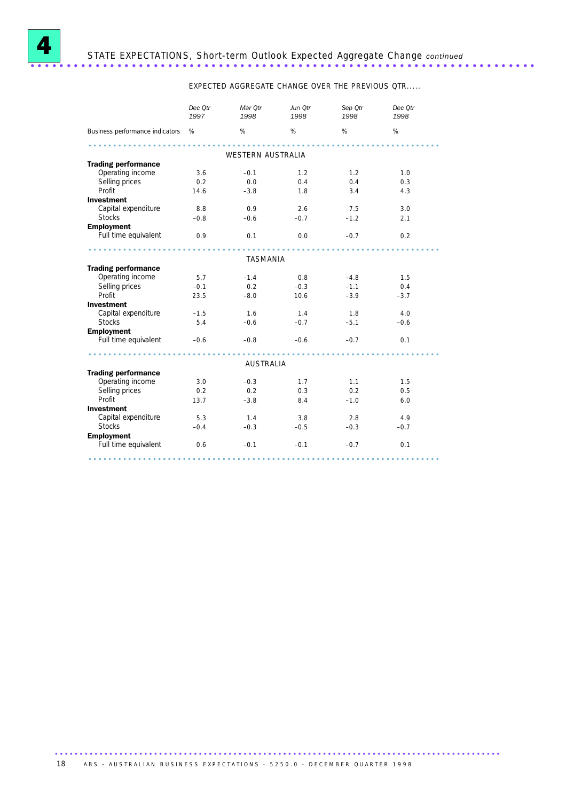

EXPECTED AGGREGATE CHANGE OVER THE PREVIOUS QTR.....

|                                   | Dec Otr<br>1997 | Mar Otr<br>1998   | Jun Otr<br>1998 | Sep Otr<br>1998 | Dec Otr<br>1998 |
|-----------------------------------|-----------------|-------------------|-----------------|-----------------|-----------------|
| Business performance indicators % |                 | %                 | %               | %               | %               |
|                                   |                 |                   |                 |                 |                 |
|                                   |                 | WESTERN AUSTRALIA |                 |                 |                 |
| <b>Trading performance</b>        |                 |                   |                 |                 |                 |
| Operating income                  | 3.6             | $-0.1$            | 1.2             | 1.2             | 1.0             |
| Selling prices                    | 0.2             | 0.0               | 0.4             | 0.4             | 0.3             |
| Profit                            | 14.6            | $-3.8$            | 1.8             | 3.4             | 4.3             |
| <b>Investment</b>                 |                 |                   |                 |                 |                 |
| Capital expenditure               | 8.8             | 0.9               | 2.6             | 7.5             | 3.0             |
| <b>Stocks</b>                     | $-0.8$          | $-0.6$            | $-0.7$          | $-1.2$          | 2.1             |
| <b>Employment</b>                 |                 |                   |                 |                 |                 |
| Full time equivalent              | 0.9             | 0.1               | 0.0             | $-0.7$          | 0.2             |
|                                   |                 | TASMANIA          |                 |                 |                 |
| <b>Trading performance</b>        |                 |                   |                 |                 |                 |
| Operating income                  | 5.7             | $-1.4$            | 0.8             | $-4.8$          | 1.5             |
| Selling prices                    | $-0.1$          | 0.2               | $-0.3$          | $-1.1$          | 0.4             |
| Profit                            | 23.5            | $-8.0$            | 10.6            | $-3.9$          | $-3.7$          |
| <b>Investment</b>                 |                 |                   |                 |                 |                 |
| Capital expenditure               | $-1.5$          | 1.6               | 1.4             | 1.8             | 4.0             |
| <b>Stocks</b>                     | 5.4             | $-0.6$            | $-0.7$          | $-5.1$          | $-0.6$          |
|                                   |                 |                   |                 |                 |                 |
| <b>Employment</b>                 |                 |                   |                 |                 |                 |
| Full time equivalent              | $-0.6$          | $-0.8$            | $-0.6$          | $-0.7$          | 0.1             |
|                                   |                 | <b>AUSTRALIA</b>  |                 |                 |                 |
| <b>Trading performance</b>        |                 |                   |                 |                 |                 |
| Operating income                  | 3.0             | $-0.3$            | 1.7             | 1.1             | 1.5             |
| Selling prices                    | 0.2             | 0.2               | 0.3             | 0.2             | 0.5             |
| Profit                            | 13.7            | $-3.8$            | 8.4             | $-1.0$          | 6.0             |
| <b>Investment</b>                 |                 |                   |                 |                 |                 |
| Capital expenditure               | 5.3             | 1.4               | 3.8             | 2.8             | 4.9             |
| <b>Stocks</b>                     | $-0.4$          | $-0.3$            | $-0.5$          | $-0.3$          | $-0.7$          |
| <b>Employment</b>                 |                 |                   |                 |                 |                 |
| Full time equivalent              | 0.6             | $-0.1$            | $-0.1$          | $-0.7$          | 0.1             |
|                                   |                 |                   |                 |                 |                 |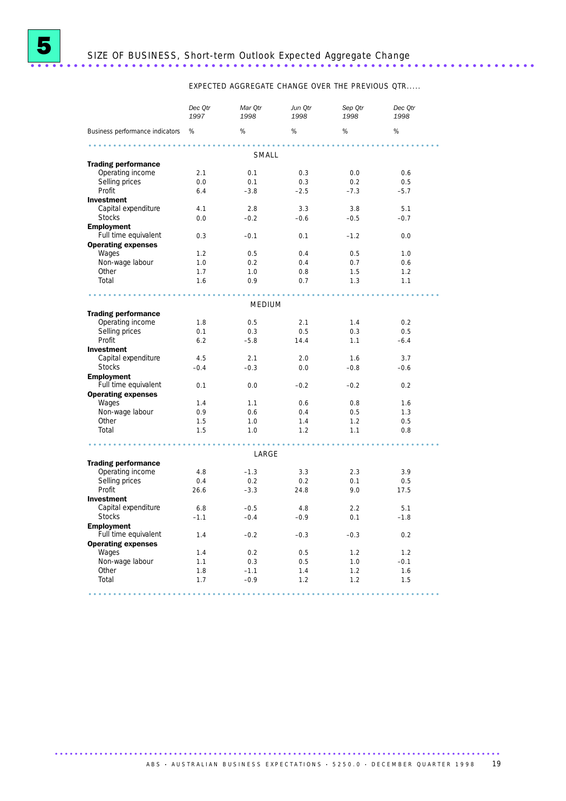

# <sup>5</sup> SIZE OF BUSINESS, Short-term Outlook Expected Aggregate Change ......................................................................

EXPECTED AGGREGATE CHANGE OVER THE PREVIOUS QTR.....

|                                 | Dec Otr<br>1997 | Mar Otr<br>1998 | Jun Otr<br>1998 | Sep Otr<br>1998 | Dec Otr<br>1998 |
|---------------------------------|-----------------|-----------------|-----------------|-----------------|-----------------|
| Business performance indicators | %               | %               | %               | %               | %               |
|                                 |                 | SMALL           |                 |                 |                 |
| <b>Trading performance</b>      |                 |                 |                 |                 |                 |
| Operating income                | 2.1             | 0.1             | 0.3             | 0.0             | 0.6             |
| Selling prices                  | 0.0             | 0.1             | 0.3             | 0.2             | 0.5             |
| Profit                          | 6.4             | $-3.8$          | $-2.5$          | $-7.3$          | $-5.7$          |
| <b>Investment</b>               |                 |                 |                 |                 |                 |
| Capital expenditure             | 4.1             | 2.8             | 3.3             | 3.8             | 5.1             |
| <b>Stocks</b>                   | 0.0             | $-0.2$          | $-0.6$          | $-0.5$          | $-0.7$          |
| <b>Employment</b>               |                 |                 |                 |                 |                 |
| Full time equivalent            | 0.3             | $-0.1$          | 0.1             | $-1.2$          | 0.0             |
| <b>Operating expenses</b>       |                 |                 |                 |                 |                 |
| Wages                           | 1.2             | 0.5             | 0.4             | 0.5             | 1.0             |
| Non-wage labour                 | 1.0             | 0.2             | 0.4             | 0.7             | 0.6             |
| Other                           | 1.7             | 1.0             | 0.8             | 1.5             | 1.2             |
| Total                           | 1.6             | 0.9             | 0.7             | 1.3             | 1.1             |
|                                 |                 |                 |                 |                 |                 |
|                                 |                 |                 |                 |                 |                 |
|                                 |                 | MEDIUM          |                 |                 |                 |
| <b>Trading performance</b>      |                 |                 |                 |                 |                 |
| Operating income                | 1.8             | 0.5             | 2.1             | 1.4             | 0.2             |
| Selling prices                  | 0.1             | 0.3             | 0.5             | 0.3             | 0.5             |
| Profit                          | 6.2             | $-5.8$          | 14.4            | 1.1             | $-6.4$          |
| <b>Investment</b>               |                 |                 |                 |                 |                 |
| Capital expenditure             | 4.5             | 2.1             | 2.0             | 1.6             | 3.7             |
| <b>Stocks</b>                   | $-0.4$          | $-0.3$          | 0.0             | $-0.8$          | $-0.6$          |
| <b>Employment</b>               |                 |                 |                 |                 |                 |
| Full time equivalent            | 0.1             | 0.0             | $-0.2$          | $-0.2$          | 0.2             |
| <b>Operating expenses</b>       |                 |                 |                 |                 |                 |
| Wages                           | 1.4             | 1.1             | 0.6             | 0.8             | 1.6             |
| Non-wage labour                 | 0.9             | 0.6             | 0.4             | 0.5             | 1.3             |
| Other                           | 1.5             | 1.0             | 1.4             | 1.2             | 0.5             |
| Total                           | 1.5             | 1.0             | 1.2             | 1.1             | 0.8             |
|                                 |                 |                 |                 |                 |                 |
|                                 |                 | LARGE           |                 |                 |                 |
| <b>Trading performance</b>      |                 |                 |                 |                 |                 |
| Operating income                | 4.8             | $-1.3$          | 3.3             | 2.3             | 3.9             |
| Selling prices                  | 0.4             | 0.2             | 0.2             | 0.1             | 0.5             |
| Profit                          | 26.6            | $-3.3$          | 24.8            | 9.0             | 17.5            |
| <b>Investment</b>               |                 |                 |                 |                 |                 |
| Capital expenditure             | 6.8             | $-0.5$          | 4.8             | 2.2             | 5.1             |
| <b>Stocks</b>                   | $-1.1$          | $-0.4$          | $-0.9$          | 0.1             | $-1.8$          |
| <b>Employment</b>               |                 |                 |                 |                 |                 |
| Full time equivalent            | 1.4             | $-0.2$          | $-0.3$          | $-0.3$          | 0.2             |
| <b>Operating expenses</b>       |                 |                 |                 |                 |                 |
| Wages                           | 1.4             | 0.2             | 0.5             | 1.2             | 1.2             |
| Non-wage labour                 | 1.1             | 0.3             | 0.5             | 1.0             | $-0.1$          |
| Other                           | 1.8             | $-1.1$          | 1.4             | 1.2             | 1.6             |
| Total                           | 1.7             | $-0.9$          | 1.2             | 1.2             | 1.5             |
|                                 |                 |                 |                 |                 |                 |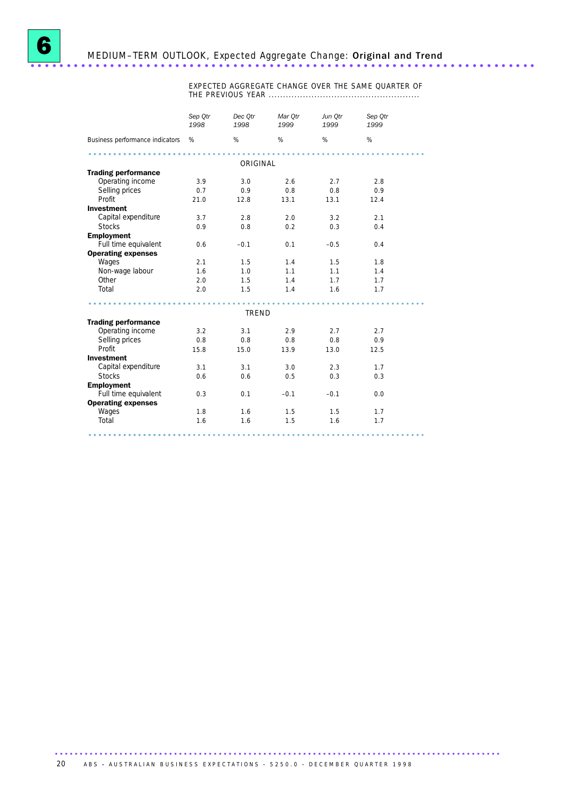

EXPECTED AGGREGATE CHANGE OVER THE SAME QUARTER OF THE PREVIOUS YEAR .....................................................

|                                                | Sep Otr<br>1998 | Dec Otr<br>1998 | Mar Otr<br>1999 | Jun Otr<br>1999 | Sep Qtr<br>1999 |
|------------------------------------------------|-----------------|-----------------|-----------------|-----------------|-----------------|
| Business performance indicators                | %               | %               | %               | %               | %               |
|                                                |                 |                 |                 |                 |                 |
|                                                |                 | ORIGINAL        |                 |                 |                 |
| <b>Trading performance</b><br>Operating income | 3.9             | 3.0             | 2.6             | 2.7             | 2.8             |
| Selling prices                                 | 0.7             | 0.9             | 0.8             | 0.8             | 0.9             |
| Profit                                         | 21.0            | 12.8            | 13.1            | 13.1            | 12.4            |
| <b>Investment</b>                              |                 |                 |                 |                 |                 |
| Capital expenditure                            | 3.7             | 2.8             | 2.0             | 3.2             | 2.1             |
| <b>Stocks</b>                                  | 0.9             | 0.8             | 0.2             | 0.3             | 0.4             |
| <b>Employment</b>                              |                 |                 |                 |                 |                 |
| Full time equivalent                           | 0.6             | $-0.1$          | 0.1             | $-0.5$          | 0.4             |
| <b>Operating expenses</b>                      |                 |                 |                 |                 |                 |
| Wages                                          | 2.1             | 1.5             | 1.4             | 1.5             | 1.8             |
| Non-wage labour                                | 1.6             | 1.0             | 1.1             | 1.1             | 1.4             |
| Other                                          | 2.0             | 1.5             | 1.4             | 1.7             | 1.7             |
| Total                                          | 2.0             | 1.5             | 1.4             | 1.6             | 1.7             |
|                                                |                 |                 |                 |                 |                 |
|                                                |                 |                 |                 |                 |                 |
|                                                |                 | TREND           |                 |                 |                 |
| <b>Trading performance</b><br>Operating income | 3.2             | 3.1             | 2.9             | 2.7             | 2.7             |
| Selling prices                                 | 0.8             | 0.8             | 0.8             | 0.8             | 0.9             |
| Profit                                         | 15.8            | 15.0            | 13.9            | 13.0            | 12.5            |
| <b>Investment</b>                              |                 |                 |                 |                 |                 |
| Capital expenditure                            | 3.1             | 3.1             | 3.0             | 2.3             | 1.7             |
| <b>Stocks</b>                                  | 0.6             | 0.6             | 0.5             | 0.3             | 0.3             |
| <b>Employment</b>                              |                 |                 |                 |                 |                 |
| Full time equivalent                           | 0.3             | 0.1             | $-0.1$          | $-0.1$          | 0.0             |
| <b>Operating expenses</b>                      |                 |                 |                 |                 |                 |
| Wages                                          | 1.8             | 1.6             | 1.5             | 1.5             | 1.7             |
| Total                                          | 1.6             | 1.6             | 1.5             | 1.6             | 1.7             |
|                                                |                 |                 |                 |                 |                 |
|                                                |                 |                 |                 |                 |                 |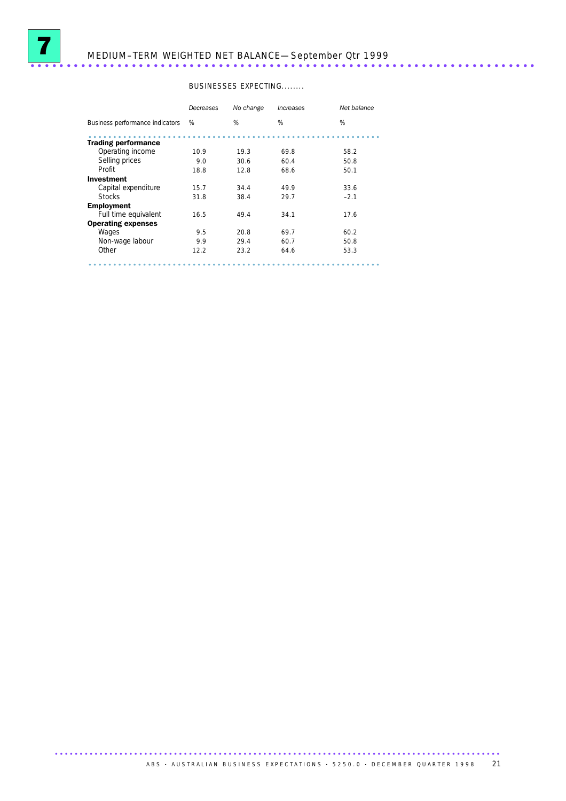

# <sup>7</sup> MEDIUM–TERM WEIGHTED NET BALANCE—September Qtr 1999 ......................................................................

### BUSINESSES EXPECTING........

|                                 | Decreases | No change | Increases | Net balance |
|---------------------------------|-----------|-----------|-----------|-------------|
| Business performance indicators | %         | %         | %         | %           |
| <b>Trading performance</b>      |           |           |           |             |
| Operating income                | 10.9      | 19.3      | 69.8      | 58.2        |
| Selling prices                  | 9.0       | 30.6      | 60.4      | 50.8        |
| Profit                          | 18.8      | 12.8      | 68.6      | 50.1        |
| Investment                      |           |           |           |             |
| Capital expenditure             | 15.7      | 34.4      | 49.9      | 33.6        |
| <b>Stocks</b>                   | 31.8      | 38.4      | 29.7      | $-2.1$      |
| <b>Employment</b>               |           |           |           |             |
| Full time equivalent            | 16.5      | 49.4      | 34.1      | 17.6        |
| <b>Operating expenses</b>       |           |           |           |             |
| Wages                           | 9.5       | 20.8      | 69.7      | 60.2        |
| Non-wage labour                 | 9.9       | 29.4      | 60.7      | 50.8        |
| Other                           | 12.2      | 23.2      | 64.6      | 53.3        |
|                                 |           |           |           |             |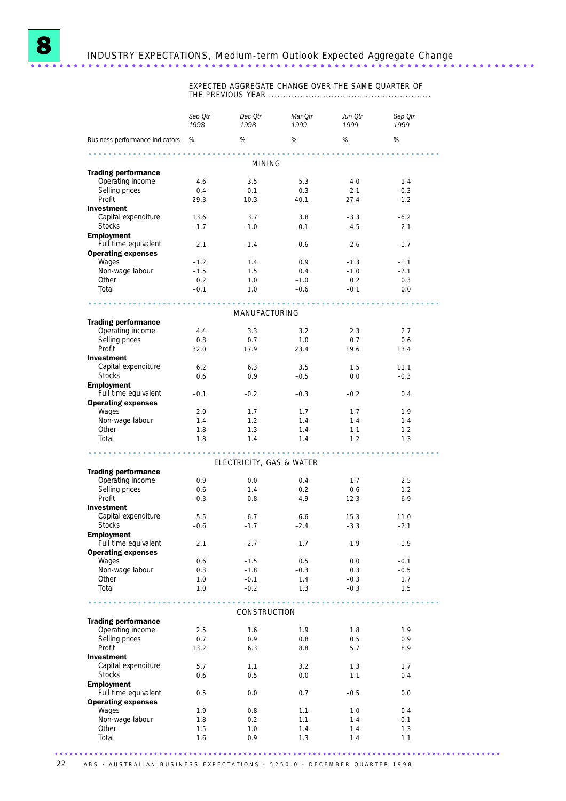

EXPECTED AGGREGATE CHANGE OVER THE SAME QUARTER OF THE PREVIOUS YEAR .........................................................

|                                                   | Sep Qtr<br>1998 | Dec Qtr<br>1998          | Mar Qtr<br>1999 | Jun Qtr<br>1999                 | Sep Qtr<br>1999 |  |
|---------------------------------------------------|-----------------|--------------------------|-----------------|---------------------------------|-----------------|--|
| Business performance indicators %                 |                 | %                        | %               | %                               | %               |  |
|                                                   |                 |                          |                 |                                 |                 |  |
|                                                   |                 | <b>MINING</b>            |                 |                                 |                 |  |
| <b>Trading performance</b><br>Operating income    | 4.6             | 3.5                      | 5.3             | 4.0                             | 1.4             |  |
| Selling prices                                    | 0.4             | $-0.1$                   | 0.3             | $-2.1$                          | $-0.3$          |  |
| Profit                                            | 29.3            | 10.3                     | 40.1            | 27.4                            | $-1.2$          |  |
| <b>Investment</b>                                 |                 |                          |                 |                                 |                 |  |
| Capital expenditure                               | 13.6            | 3.7                      | 3.8             | $-3.3$                          | $-6.2$          |  |
| <b>Stocks</b>                                     | $-1.7$          | $-1.0$                   | $-0.1$          | $-4.5$                          | 2.1             |  |
| <b>Employment</b><br>Full time equivalent         | $-2.1$          | $-1.4$                   | $-0.6$          | $-2.6$                          | $-1.7$          |  |
| <b>Operating expenses</b>                         |                 |                          |                 |                                 |                 |  |
| Wages                                             | $-1.2$          | 1.4                      | 0.9             | $-1.3$                          | $-1.1$          |  |
| Non-wage labour                                   | $-1.5$          | 1.5                      | 0.4             | $-1.0$                          | $-2.1$          |  |
| Other                                             | 0.2             | 1.0                      | $-1.0$          | 0.2                             | 0.3             |  |
| Total                                             | $-0.1$          | 1.0                      | $-0.6$          | $-0.1$                          | 0.0             |  |
|                                                   |                 |                          |                 |                                 |                 |  |
|                                                   |                 | MANUFACTURING            |                 |                                 |                 |  |
| <b>Trading performance</b><br>Operating income    | 4.4             | 3.3                      | 3.2             | 2.3                             | 2.7             |  |
| Selling prices                                    | 0.8             | 0.7                      | 1.0             | 0.7                             | 0.6             |  |
| Profit                                            | 32.0            | 17.9                     | 23.4            | 19.6                            | 13.4            |  |
| <b>Investment</b>                                 |                 |                          |                 |                                 |                 |  |
| Capital expenditure                               | 6.2             | 6.3                      | 3.5             | 1.5                             | 11.1            |  |
| <b>Stocks</b>                                     | 0.6             | 0.9                      | $-0.5$          | 0.0                             | $-0.3$          |  |
| <b>Employment</b>                                 |                 |                          |                 |                                 |                 |  |
| Full time equivalent<br><b>Operating expenses</b> | $-0.1$          | $-0.2$                   | $-0.3$          | $-0.2$                          | 0.4             |  |
| Wages                                             | 2.0             | 1.7                      | 1.7             | 1.7                             | 1.9             |  |
| Non-wage labour                                   | 1.4             | 1.2                      | 1.4             | 1.4                             | 1.4             |  |
| Other                                             | 1.8             | 1.3                      | 1.4             | 1.1                             | 1.2             |  |
| Total                                             | 1.8             | 1.4                      | 1.4             | 1.2                             | 1.3             |  |
|                                                   |                 |                          | .               |                                 |                 |  |
| <b>Trading performance</b>                        |                 | ELECTRICITY, GAS & WATER |                 |                                 |                 |  |
| Operating income                                  | 0.9             | 0.0                      | 0.4             | 1.7                             | 2.5             |  |
| Selling prices                                    | $-0.6$          | $-1.4$                   | $-0.2$          | 0.6                             | 1.2             |  |
| Profit                                            | $-0.3$          | 0.8                      | $-4.9$          | 12.3                            | 6.9             |  |
| <b>Investment</b>                                 |                 |                          |                 |                                 |                 |  |
| Capital expenditure                               | $-5.5$          | $-6.7$                   | $-6.6$          | 15.3                            | 11.0            |  |
| <b>Stocks</b>                                     | $-0.6$          | $-1.7$                   | $-2.4$          | $-3.3$                          | $-2.1$          |  |
| <b>Employment</b><br>Full time equivalent         | $-2.1$          | $-2.7$                   | $-1.7$          | $-1.9$                          | $-1.9$          |  |
| <b>Operating expenses</b>                         |                 |                          |                 |                                 |                 |  |
| Wages                                             | 0.6             | $-1.5$                   | 0.5             | 0.0                             | $-0.1$          |  |
| Non-wage labour                                   | 0.3             | $-1.8$                   | $-0.3$          | 0.3                             | $-0.5$          |  |
| Other                                             | 1.0             | $-0.1$                   | 1.4             | $-0.3$                          | 1.7             |  |
| Total                                             | 1.0             | $-0.2$                   | 1.3             | $-0.3$                          | 1.5             |  |
|                                                   |                 |                          |                 | * * * * * * * * * * * * * * * * |                 |  |
| <b>Trading performance</b>                        |                 | CONSTRUCTION             |                 |                                 |                 |  |
| Operating income                                  | 2.5             | 1.6                      | 1.9             | 1.8                             | 1.9             |  |
| Selling prices                                    | 0.7             | 0.9                      | 0.8             | 0.5                             | 0.9             |  |
| Profit                                            | 13.2            | 6.3                      | 8.8             | 5.7                             | 8.9             |  |
| Investment                                        |                 |                          |                 |                                 |                 |  |
| Capital expenditure                               | 5.7             | 1.1                      | 3.2             | 1.3                             | 1.7             |  |
| <b>Stocks</b>                                     | 0.6             | 0.5                      | 0.0             | 1.1                             | 0.4             |  |
| <b>Employment</b>                                 |                 |                          |                 |                                 |                 |  |
| Full time equivalent<br><b>Operating expenses</b> | 0.5             | 0.0                      | 0.7             | $-0.5$                          | 0.0             |  |
| Wages                                             | 1.9             | 0.8                      | 1.1             | 1.0                             | 0.4             |  |
| Non-wage labour                                   | 1.8             | 0.2                      | 1.1             | 1.4                             | $-0.1$          |  |
| Other                                             | 1.5             | 1.0                      | 1.4             | 1.4                             | 1.3             |  |
| Total                                             | 1.6             | 0.9                      | 1.3             | 1.4                             | 1.1             |  |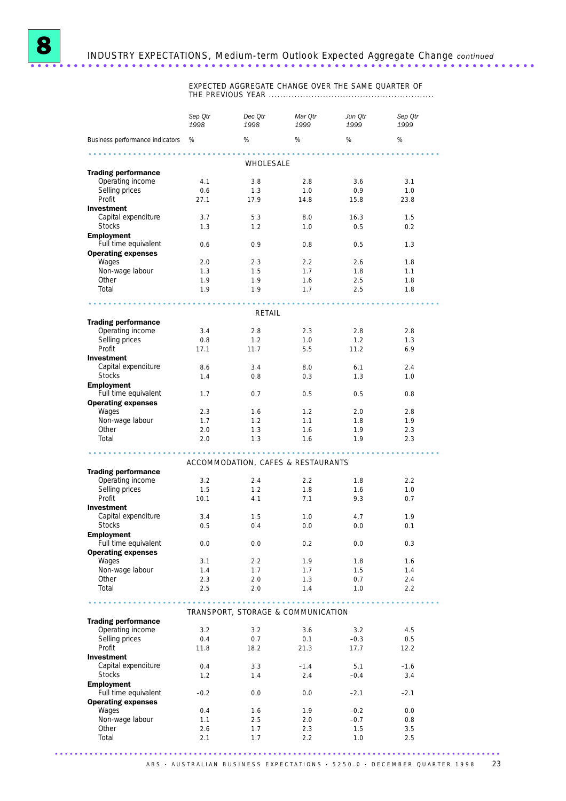

8 INDUSTRY EXPECTATIONS, Medium-term Outlook Expected Aggregate Change *continued* ......................................................................

> EXPECTED AGGREGATE CHANGE OVER THE SAME QUARTER OF THE PREVIOUS YEAR ..........................................................

|                                                   | Sep Qtr<br>1998 | Dec Qtr<br>1998                    | Mar Otr<br>1999 | Jun Qtr<br>1999  | Sep Qtr<br>1999 |  |
|---------------------------------------------------|-----------------|------------------------------------|-----------------|------------------|-----------------|--|
| Business performance indicators                   | %               | %                                  | %               | %                | %               |  |
|                                                   |                 |                                    |                 |                  |                 |  |
| <b>Trading performance</b>                        |                 | WHOLESALE                          |                 |                  |                 |  |
| Operating income                                  | 4.1             | 3.8                                | 2.8             | 3.6              | 3.1             |  |
| Selling prices                                    | 0.6             | 1.3                                | 1.0             | 0.9 <sup>°</sup> | 1.0             |  |
| Profit                                            | 27.1            | 17.9                               | 14.8            | 15.8             | 23.8            |  |
| <b>Investment</b>                                 |                 |                                    |                 |                  |                 |  |
| Capital expenditure                               | 3.7             | 5.3                                | 8.0             | 16.3             | 1.5             |  |
| <b>Stocks</b>                                     | 1.3             | 1.2                                | 1.0             | 0.5              | 0.2             |  |
| <b>Employment</b><br>Full time equivalent         | 0.6             | 0.9                                | 0.8             | 0.5              | 1.3             |  |
| <b>Operating expenses</b>                         |                 |                                    |                 |                  |                 |  |
| Wages                                             | 2.0             | 2.3                                | 2.2             | 2.6              | 1.8             |  |
| Non-wage labour                                   | 1.3             | 1.5                                | 1.7             | 1.8              | 1.1             |  |
| Other                                             | 1.9             | 1.9                                | 1.6             | 2.5              | 1.8             |  |
| Total                                             | 1.9             | 1.9                                | 1.7             | 2.5              | 1.8             |  |
|                                                   |                 |                                    |                 |                  |                 |  |
| <b>Trading performance</b>                        |                 | RETAIL                             |                 |                  |                 |  |
| Operating income                                  | 3.4             | 2.8                                | 2.3             | 2.8              | 2.8             |  |
| Selling prices                                    | 0.8             | 1.2                                | 1.0             | 1.2              | 1.3             |  |
| Profit                                            | 17.1            | 11.7                               | 5.5             | 11.2             | 6.9             |  |
| <b>Investment</b>                                 |                 |                                    |                 |                  |                 |  |
| Capital expenditure                               | 8.6             | 3.4                                | 8.0             | 6.1              | 2.4             |  |
| <b>Stocks</b>                                     | 1.4             | 0.8                                | 0.3             | 1.3              | 1.0             |  |
| <b>Employment</b>                                 |                 |                                    |                 |                  |                 |  |
| Full time equivalent<br><b>Operating expenses</b> | 1.7             | 0.7                                | 0.5             | 0.5              | 0.8             |  |
| Wages                                             | 2.3             | 1.6                                | 1.2             | 2.0              | 2.8             |  |
| Non-wage labour                                   | 1.7             | 1.2                                | 1.1             | 1.8              | 1.9             |  |
| Other                                             | 2.0             | 1.3                                | 1.6             | 1.9              | 2.3             |  |
| Total                                             | 2.0             | 1.3                                | 1.6             | 1.9              | 2.3             |  |
|                                                   |                 |                                    |                 |                  |                 |  |
|                                                   |                 | ACCOMMODATION, CAFES & RESTAURANTS |                 |                  |                 |  |
| <b>Trading performance</b>                        |                 |                                    |                 |                  |                 |  |
| Operating income                                  | 3.2             | 2.4                                | 2.2             | 1.8              | 2.2             |  |
| Selling prices<br>Profit                          | 1.5             | 1.2                                | 1.8             | 1.6              | 1.0             |  |
| <b>Investment</b>                                 | 10.1            | 4.1                                | 7.1             | 9.3              | 0.7             |  |
| Capital expenditure                               | 3.4             | 1.5                                | 1.0             | 4.7              | 1.9             |  |
| <b>Stocks</b>                                     | 0.5             | 0.4                                | 0.0             | 0.0              | 0.1             |  |
| <b>Employment</b>                                 |                 |                                    |                 |                  |                 |  |
| Full time equivalent                              | 0.0             | 0.0                                | 0.2             | 0.0              | 0.3             |  |
| <b>Operating expenses</b>                         |                 |                                    |                 |                  |                 |  |
| Wages                                             | 3.1             | 2.2                                | 1.9             | 1.8              | 1.6             |  |
| Non-wage labour<br>Other                          | 1.4<br>2.3      | 1.7<br>2.0                         | 1.7<br>1.3      | 1.5<br>0.7       | 1.4<br>2.4      |  |
| Total                                             | 2.5             | 2.0                                | 1.4             | 1.0              | 2.2             |  |
|                                                   |                 |                                    |                 |                  |                 |  |
|                                                   |                 | TRANSPORT, STORAGE & COMMUNICATION |                 |                  |                 |  |
| <b>Trading performance</b>                        |                 |                                    |                 |                  |                 |  |
| Operating income                                  | 3.2             | 3.2                                | 3.6             | 3.2              | 4.5             |  |
| Selling prices                                    | 0.4             | 0.7                                | 0.1             | $-0.3$           | 0.5             |  |
| Profit                                            | 11.8            | 18.2                               | 21.3            | 17.7             | 12.2            |  |
| <b>Investment</b>                                 |                 |                                    |                 |                  |                 |  |
| Capital expenditure                               | 0.4             | 3.3                                | $-1.4$          | 5.1              | $-1.6$          |  |
| <b>Stocks</b>                                     | 1.2             | 1.4                                | 2.4             | $-0.4$           | 3.4             |  |
| <b>Employment</b>                                 |                 |                                    |                 |                  |                 |  |
| Full time equivalent<br><b>Operating expenses</b> | $-0.2$          | 0.0                                | 0.0             | $-2.1$           | $-2.1$          |  |
| Wages                                             | 0.4             | 1.6                                | 1.9             | $-0.2$           | 0.0             |  |
| Non-wage labour                                   | 1.1             | 2.5                                | 2.0             | $-0.7$           | 0.8             |  |
| Other                                             | 2.6             | 1.7                                | 2.3             | 1.5              | 3.5             |  |
| Total                                             | 2.1             | 1.7                                | 2.2             | 1.0              | 2.5             |  |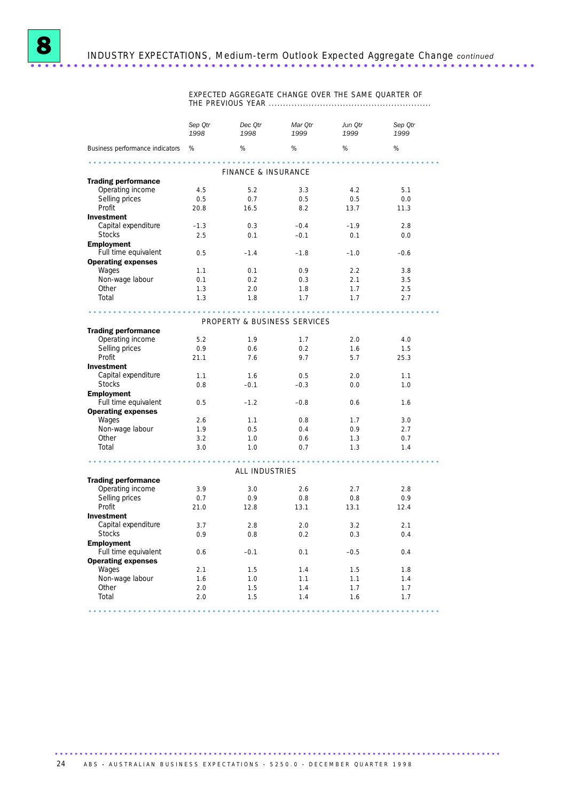

EXPECTED AGGREGATE CHANGE OVER THE SAME QUARTER OF THE PREVIOUS YEAR .........................................................

|                                   | Sep Otr<br>1998  | Dec Otr<br>1998              | Mar Otr<br>1999 | Jun Otr<br>1999 | Sep Otr<br>1999 |  |
|-----------------------------------|------------------|------------------------------|-----------------|-----------------|-----------------|--|
| Business performance indicators % |                  | %                            | %               | %               | %               |  |
| FINANCE & INSURANCE               |                  |                              |                 |                 |                 |  |
| <b>Trading performance</b>        |                  |                              |                 |                 |                 |  |
| Operating income                  | 4.5              | 5.2                          | 3.3             | 4.2             | 5.1             |  |
| Selling prices                    | 0.5              | 0.7                          | 0.5             | 0.5             | 0.0             |  |
| Profit                            | 20.8             | 16.5                         | 8.2             | 13.7            | 11.3            |  |
| <b>Investment</b>                 |                  |                              |                 |                 |                 |  |
| Capital expenditure               | $-1.3$           | 0.3                          | $-0.4$          | $-1.9$          | 2.8             |  |
| <b>Stocks</b>                     | 2.5              | 0.1                          | $-0.1$          | 0.1             | 0.0             |  |
| <b>Employment</b>                 |                  |                              |                 |                 |                 |  |
| Full time equivalent              | 0.5              | $-1.4$                       | $-1.8$          | $-1.0$          | $-0.6$          |  |
| <b>Operating expenses</b>         |                  |                              |                 |                 |                 |  |
| Wages                             | 1.1              | 0.1                          | 0.9             | 2.2             | 3.8             |  |
| Non-wage labour                   | 0.1              | 0.2                          | 0.3             | 2.1             | 3.5             |  |
| Other                             | 1.3              | 2.0                          | 1.8             | 1.7             | 2.5             |  |
| Total                             | 1.3              | 1.8                          | 1.7             | 1.7             | 2.7             |  |
|                                   |                  |                              |                 |                 |                 |  |
| .                                 |                  |                              |                 |                 |                 |  |
|                                   |                  | PROPERTY & BUSINESS SERVICES |                 |                 |                 |  |
| <b>Trading performance</b>        |                  |                              |                 |                 |                 |  |
| Operating income                  | 5.2              | 1.9                          | 1.7             | 2.0             | 4.0             |  |
| Selling prices                    | 0.9 <sup>°</sup> | 0.6                          | 0.2             | 1.6             | 1.5             |  |
| Profit                            | 21.1             | 7.6                          | 9.7             | 5.7             | 25.3            |  |
| <b>Investment</b>                 |                  |                              |                 |                 |                 |  |
| Capital expenditure               | 1.1              | 1.6                          | 0.5             | 2.0             | 1.1             |  |
| <b>Stocks</b>                     | 0.8              | $-0.1$                       | $-0.3$          | 0.0             | 1.0             |  |
| <b>Employment</b>                 |                  |                              |                 |                 |                 |  |
| Full time equivalent              | 0.5              | $-1.2$                       | $-0.8$          | 0.6             | 1.6             |  |
| <b>Operating expenses</b>         |                  |                              |                 |                 |                 |  |
| Wages                             | 2.6              | 1.1                          | 0.8             | 1.7             | 3.0             |  |
| Non-wage labour                   | 1.9              | 0.5                          | 0.4             | 0.9             | 2.7             |  |
| Other                             | 3.2              | 1.0                          | 0.6             | 1.3             | 0.7             |  |
| Total                             | 3.0              | 1.0                          | 0.7             | 1.3             | 1.4             |  |
|                                   |                  |                              |                 |                 |                 |  |
|                                   |                  |                              |                 |                 |                 |  |
|                                   |                  | ALL INDUSTRIES               |                 |                 |                 |  |
| <b>Trading performance</b>        |                  |                              |                 |                 |                 |  |
| Operating income                  | 3.9              | 3.0                          | 2.6             | 2.7             | 2.8             |  |
| Selling prices                    | 0.7              | 0.9                          | 0.8             | 0.8             | 0.9             |  |
| Profit                            | 21.0             | 12.8                         | 13.1            | 13.1            | 12.4            |  |
| <b>Investment</b>                 |                  |                              |                 |                 |                 |  |
| Capital expenditure               | 3.7              | 2.8                          | 2.0             | 3.2             | 2.1             |  |
| <b>Stocks</b>                     | 0.9              | 0.8                          | 0.2             | 0.3             | 0.4             |  |
| <b>Employment</b>                 |                  |                              |                 |                 |                 |  |
| Full time equivalent              | 0.6              | $-0.1$                       | 0.1             | $-0.5$          | 0.4             |  |
| <b>Operating expenses</b>         |                  |                              |                 |                 |                 |  |
| Wages                             | 2.1              | 1.5                          | 1.4             | 1.5             | 1.8             |  |
| Non-wage labour                   | 1.6              | 1.0                          | 1.1             | 1.1             | 1.4             |  |
| Other                             | 2.0              | 1.5                          | 1.4             | 1.7             | 1.7             |  |
| Total                             | 2.0              | 1.5                          | 1.4             | 1.6             | 1.7             |  |
|                                   |                  |                              |                 |                 |                 |  |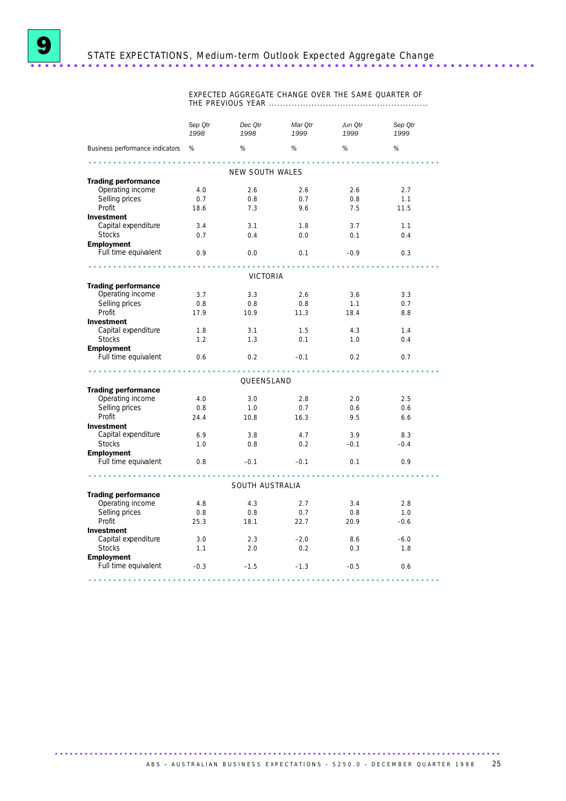EXPECTED AGGREGATE CHANGE OVER THE SAME QUARTER OF THE PREVIOUS YEAR ........................................................

|                                                | Sep Otr<br>1998  | Dec Otr<br>1998 | Mar Otr<br>1999 | Jun Otr<br>1999 | Sep Otr<br>1999 |  |
|------------------------------------------------|------------------|-----------------|-----------------|-----------------|-----------------|--|
| Business performance indicators %              |                  | %               | %               | %               | %               |  |
| .<br>NEW SOUTH WALES                           |                  |                 |                 |                 |                 |  |
| <b>Trading performance</b>                     |                  |                 |                 |                 |                 |  |
| Operating income                               | 4.0              | 2.6             | 2.6             | 2.6             | 2.7             |  |
| Selling prices                                 | 0.7              | 0.8             | 0.7             | 0.8             | 1.1             |  |
| Profit                                         | 18.6             | 7.3             | 9.6             | 7.5             | 11.5            |  |
| <b>Investment</b>                              |                  |                 |                 |                 |                 |  |
| Capital expenditure                            | 3.4              | 3.1             | 1.8             | 3.7             | 1.1             |  |
| <b>Stocks</b>                                  | 0.7              | 0.4             | 0.0             | 0.1             | 0.4             |  |
| <b>Employment</b>                              |                  |                 |                 |                 |                 |  |
| Full time equivalent                           | 0.9 <sup>°</sup> | 0.0             | 0.1             | $-0.9$          | 0.3             |  |
|                                                |                  |                 |                 |                 |                 |  |
|                                                |                  | VICTORIA        |                 |                 |                 |  |
| <b>Trading performance</b>                     |                  |                 |                 |                 |                 |  |
| Operating income                               | 3.7              | 3.3             | 2.6             | 3.6             | 3.3             |  |
| Selling prices                                 | 0.8              | 0.8             | 0.8             | 1.1             | 0.7             |  |
| Profit                                         | 17.9             | 10.9            | 11.3            | 18.4            | 8.8             |  |
| <b>Investment</b>                              |                  |                 |                 |                 |                 |  |
| Capital expenditure                            | 1.8              | 3.1             | 1.5             | 4.3             | 1.4             |  |
| <b>Stocks</b>                                  | 1.2              | 1.3             | 0.1             | 1.0             | 0.4             |  |
| <b>Employment</b><br>Full time equivalent      | 0.6              | 0.2             | $-0.1$          | 0.2             | 0.7             |  |
|                                                |                  |                 |                 |                 |                 |  |
|                                                |                  | QUEENSLAND      |                 |                 |                 |  |
| <b>Trading performance</b><br>Operating income |                  |                 |                 |                 |                 |  |
|                                                | 4.0              | 3.0             | 2.8             | 2.0             | 2.5             |  |
| Selling prices<br>Profit                       | 0.8              | 1.0             | 0.7             | 0.6             | 0.6             |  |
| <b>Investment</b>                              | 24.4             | 10.8            | 16.3            | 9.5             | 6.6             |  |
| Capital expenditure                            | 6.9              | 3.8             | 4.7             | 3.9             | 8.3             |  |
| <b>Stocks</b>                                  | 1.0              | 0.8             | 0.2             | $-0.1$          | $-0.4$          |  |
| <b>Employment</b>                              |                  |                 |                 |                 |                 |  |
| Full time equivalent                           | 0.8              |                 | $-0.1$ $-0.1$   | 0.1             | 0.9             |  |
|                                                |                  |                 |                 |                 |                 |  |
|                                                |                  | SOUTH AUSTRALIA |                 |                 |                 |  |
| <b>Trading performance</b>                     |                  |                 |                 |                 |                 |  |
| Operating income                               | 4.8              | 4.3             | 2.7             | 3.4             | 2.8             |  |
| Selling prices                                 | 0.8              | 0.8             | 0.7             | 0.8             | 1.0             |  |
| Profit                                         | 25.3             | 18.1            | 22.7            | 20.9            | $-0.6$          |  |
| <b>Investment</b>                              |                  |                 |                 |                 |                 |  |
| Capital expenditure                            | 3.0              | 2.3             | $-2.0$          | 8.6             | $-6.0$          |  |
| <b>Stocks</b>                                  | 1.1              | 2.0             | 0.2             | 0.3             | 1.8             |  |
| <b>Employment</b>                              |                  |                 |                 |                 |                 |  |
| Full time equivalent                           | $-0.3$           | $-1.5$          | $-1.3$          | $-0.5$          | 0.6             |  |
|                                                |                  |                 |                 |                 |                 |  |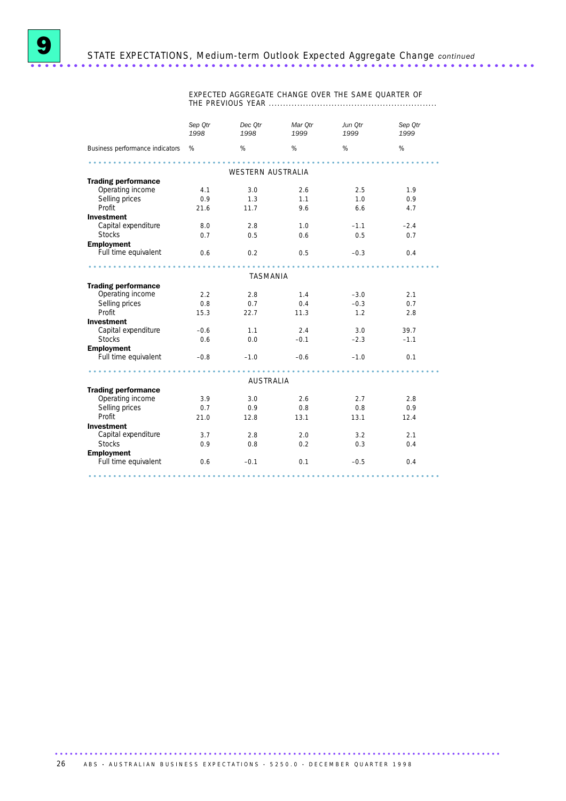EXPECTED AGGREGATE CHANGE OVER THE SAME QUARTER OF THE PREVIOUS YEAR ...........................................................

|                                   | Sep Otr<br>1998 | Dec Otr<br>1998   | Mar Otr<br>1999 | Jun Otr<br>1999 | Sep Qtr<br>1999 |
|-----------------------------------|-----------------|-------------------|-----------------|-----------------|-----------------|
| Business performance indicators % |                 | %                 | %               | %               | %               |
|                                   |                 |                   |                 |                 |                 |
|                                   |                 | WESTERN AUSTRALIA |                 |                 |                 |
| <b>Trading performance</b>        |                 |                   |                 |                 |                 |
| Operating income                  | 4.1             | 3.0               | 2.6             | 2.5             | 1.9             |
| Selling prices                    | 0.9             | 1.3               | 1.1             | 1.0             | 0.9             |
| Profit                            | 21.6            | 11.7              | 9.6             | 6.6             | 4.7             |
| <b>Investment</b>                 |                 |                   |                 |                 |                 |
| Capital expenditure               | 8.0             | 2.8               | 1.0             | $-1.1$          | $-2.4$          |
| <b>Stocks</b>                     | 0.7             | 0.5               | 0.6             | 0.5             | 0.7             |
| <b>Employment</b>                 |                 |                   |                 |                 |                 |
| Full time equivalent              | 0.6             | 0.2               | 0.5             | $-0.3$          | 0.4             |
|                                   | <b>AAAAAAA</b>  |                   |                 |                 |                 |
|                                   |                 | TASMANIA          |                 |                 |                 |
| <b>Trading performance</b>        |                 |                   |                 |                 |                 |
| Operating income                  | 2.2             | 2.8               | 1.4             | $-3.0$          | 2.1             |
| Selling prices                    | 0.8             | 0.7               | 0.4             | $-0.3$          | 0.7             |
| Profit                            | 15.3            | 22.7              | 11.3            | 1.2             | 2.8             |
| <b>Investment</b>                 |                 |                   |                 |                 |                 |
| Capital expenditure               | $-0.6$          | 1.1               | 2.4             | 3.0             | 39.7            |
| <b>Stocks</b>                     | 0.6             | 0.0               | $-0.1$          | $-2.3$          | $-1.1$          |
| <b>Employment</b>                 |                 |                   |                 |                 |                 |
| Full time equivalent              | $-0.8$          | $-1.0$            | $-0.6$          | $-1.0$          | 0.1             |
|                                   |                 |                   |                 |                 |                 |
|                                   |                 | <b>AUSTRALIA</b>  |                 |                 |                 |
| <b>Trading performance</b>        |                 |                   |                 |                 |                 |
| Operating income                  | 3.9             | 3.0               | 2.6             | 2.7             | 2.8             |
| Selling prices                    | 0.7             | 0.9               | 0.8             | 0.8             | 0.9             |
| Profit                            | 21.0            | 12.8              | 13.1            | 13.1            | 12.4            |
| <b>Investment</b>                 |                 |                   |                 |                 |                 |
| Capital expenditure               | 3.7             | 2.8               | 2.0             | 3.2             | 2.1             |
| <b>Stocks</b>                     | 0.9             | 0.8               | 0.2             | 0.3             | 0.4             |
| <b>Employment</b>                 |                 |                   |                 |                 |                 |
| Full time equivalent              | 0.6             | $-0.1$            | 0.1             | $-0.5$          | 0.4             |
|                                   |                 |                   |                 |                 |                 |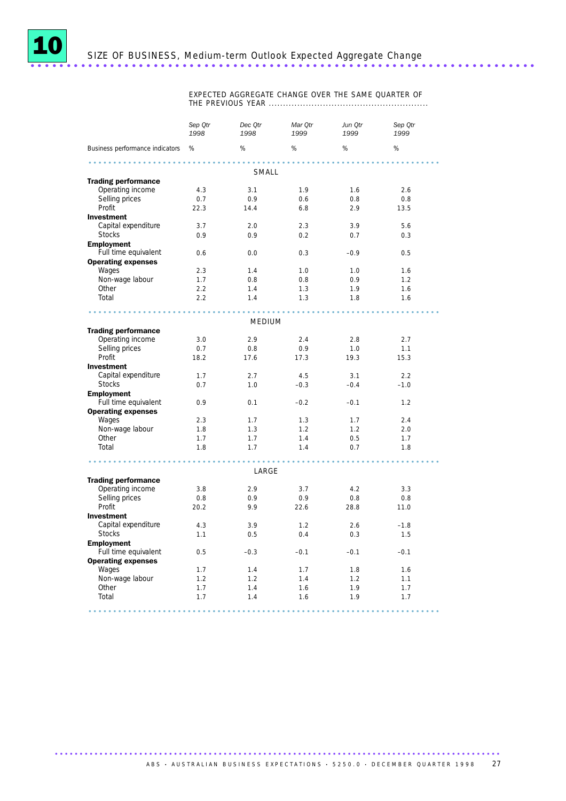

EXPECTED AGGREGATE CHANGE OVER THE SAME QUARTER OF THE PREVIOUS YEAR ........................................................

|                                                | Sep Qtr<br>1998 | Dec Qtr<br>1998 | Mar Qtr<br>1999 | Jun Qtr<br>1999 | Sep Qtr<br>1999 |  |  |
|------------------------------------------------|-----------------|-----------------|-----------------|-----------------|-----------------|--|--|
| Business performance indicators                | %               | $\%$            | $\%$            | $\%$            | $\%$            |  |  |
|                                                |                 |                 |                 |                 |                 |  |  |
| <b>Trading performance</b>                     |                 | SMALL           |                 |                 |                 |  |  |
| Operating income                               | 4.3             | 3.1             | 1.9             | 1.6             | 2.6             |  |  |
| Selling prices                                 | 0.7             | 0.9             | 0.6             | 0.8             | 0.8             |  |  |
| Profit                                         | 22.3            | 14.4            | 6.8             | 2.9             | 13.5            |  |  |
| <b>Investment</b>                              |                 |                 |                 |                 |                 |  |  |
| Capital expenditure                            | 3.7             | 2.0             | 2.3             | 3.9             | 5.6             |  |  |
| <b>Stocks</b>                                  | 0.9             | 0.9             | 0.2             | 0.7             | 0.3             |  |  |
| <b>Employment</b>                              |                 |                 |                 |                 |                 |  |  |
| Full time equivalent                           | 0.6             | 0.0             | 0.3             | $-0.9$          | 0.5             |  |  |
| <b>Operating expenses</b>                      |                 |                 |                 |                 |                 |  |  |
| Wages                                          | 2.3             | 1.4             | 1.0             | 1.0             | 1.6             |  |  |
| Non-wage labour                                | 1.7             | 0.8             | 0.8             | 0.9             | 1.2             |  |  |
| Other                                          | 2.2             | 1.4             | 1.3             | 1.9             | 1.6             |  |  |
| Total                                          | 2.2             | 1.4             | 1.3             | 1.8             | 1.6             |  |  |
|                                                |                 |                 |                 |                 |                 |  |  |
|                                                |                 |                 |                 |                 |                 |  |  |
|                                                |                 | <b>MEDIUM</b>   |                 |                 |                 |  |  |
| <b>Trading performance</b><br>Operating income | 3.0             | 2.9             | 2.4             | 2.8             | 2.7             |  |  |
| Selling prices                                 | 0.7             | 0.8             | 0.9             | 1.0             | 1.1             |  |  |
| Profit                                         | 18.2            | 17.6            |                 | 19.3            | 15.3            |  |  |
| <b>Investment</b>                              |                 |                 | 17.3            |                 |                 |  |  |
| Capital expenditure                            | 1.7             | 2.7             | 4.5             | 3.1             | 2.2             |  |  |
| <b>Stocks</b>                                  | 0.7             | 1.0             | $-0.3$          | $-0.4$          | $-1.0$          |  |  |
| <b>Employment</b>                              |                 |                 |                 |                 |                 |  |  |
| Full time equivalent                           | 0.9             | 0.1             | $-0.2$          | $-0.1$          | 1.2             |  |  |
| <b>Operating expenses</b>                      |                 |                 |                 |                 |                 |  |  |
| Wages                                          | 2.3             | 1.7             | 1.3             | 1.7             | 2.4             |  |  |
| Non-wage labour                                | 1.8             | 1.3             | 1.2             | 1.2             | 2.0             |  |  |
| Other                                          | 1.7             | 1.7             | 1.4             | 0.5             | 1.7             |  |  |
| Total                                          | 1.8             | 1.7             | 1.4             | 0.7             | 1.8             |  |  |
|                                                |                 |                 |                 |                 |                 |  |  |
|                                                |                 | LARGE           |                 |                 |                 |  |  |
| <b>Trading performance</b>                     |                 |                 |                 |                 |                 |  |  |
| Operating income                               | 3.8             | 2.9             | 3.7             | 4.2             | 3.3             |  |  |
| Selling prices                                 | 0.8             | 0.9             | 0.9             | 0.8             | 0.8             |  |  |
| Profit                                         | 20.2            | 9.9             | 22.6            | 28.8            | 11.0            |  |  |
| <b>Investment</b>                              |                 |                 |                 |                 |                 |  |  |
| Capital expenditure                            | 4.3             | 3.9             | 1.2             | 2.6             | $-1.8$          |  |  |
| <b>Stocks</b>                                  | 1.1             | 0.5             | 0.4             | 0.3             | 1.5             |  |  |
| <b>Employment</b>                              |                 |                 |                 |                 |                 |  |  |
| Full time equivalent                           | 0.5             | $-0.3$          | $-0.1$          | $-0.1$          | $-0.1$          |  |  |
| <b>Operating expenses</b>                      |                 |                 |                 |                 |                 |  |  |
| Wages                                          | 1.7             | 1.4             | 1.7             | 1.8             | 1.6             |  |  |
| Non-wage labour                                | 1.2             | 1.2             | 1.4             | 1.2             | 1.1             |  |  |
| Other                                          | 1.7             | 1.4             | 1.6             | 1.9             | 1.7             |  |  |
| Total                                          | 1.7             | 1.4             | 1.6             | 1.9             | 1.7             |  |  |
|                                                |                 |                 |                 |                 |                 |  |  |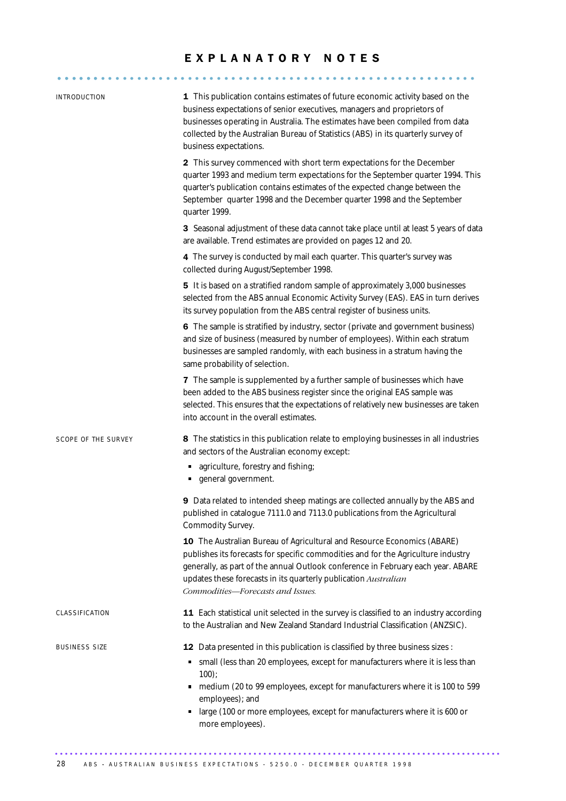# E X P L A N A T O R Y N O T E S

| INTRODUCTION         | 1 This publication contains estimates of future economic activity based on the<br>business expectations of senior executives, managers and proprietors of<br>businesses operating in Australia. The estimates have been compiled from data<br>collected by the Australian Bureau of Statistics (ABS) in its quarterly survey of<br>business expectations.                     |
|----------------------|-------------------------------------------------------------------------------------------------------------------------------------------------------------------------------------------------------------------------------------------------------------------------------------------------------------------------------------------------------------------------------|
|                      | 2 This survey commenced with short term expectations for the December<br>quarter 1993 and medium term expectations for the September quarter 1994. This<br>quarter's publication contains estimates of the expected change between the<br>September quarter 1998 and the December quarter 1998 and the September<br>quarter 1999.                                             |
|                      | 3 Seasonal adjustment of these data cannot take place until at least 5 years of data<br>are available. Trend estimates are provided on pages 12 and 20.                                                                                                                                                                                                                       |
|                      | 4 The survey is conducted by mail each quarter. This quarter's survey was<br>collected during August/September 1998.                                                                                                                                                                                                                                                          |
|                      | 5 It is based on a stratified random sample of approximately 3,000 businesses<br>selected from the ABS annual Economic Activity Survey (EAS). EAS in turn derives<br>its survey population from the ABS central register of business units.                                                                                                                                   |
|                      | 6 The sample is stratified by industry, sector (private and government business)<br>and size of business (measured by number of employees). Within each stratum<br>businesses are sampled randomly, with each business in a stratum having the<br>same probability of selection.                                                                                              |
|                      | 7 The sample is supplemented by a further sample of businesses which have<br>been added to the ABS business register since the original EAS sample was<br>selected. This ensures that the expectations of relatively new businesses are taken<br>into account in the overall estimates.                                                                                       |
| SCOPE OF THE SURVEY  | 8 The statistics in this publication relate to employing businesses in all industries<br>and sectors of the Australian economy except:<br>agriculture, forestry and fishing;<br>general government.                                                                                                                                                                           |
|                      | 9 Data related to intended sheep matings are collected annually by the ABS and<br>published in catalogue 7111.0 and 7113.0 publications from the Agricultural<br>Commodity Survey.                                                                                                                                                                                            |
|                      | 10 The Australian Bureau of Agricultural and Resource Economics (ABARE)<br>publishes its forecasts for specific commodities and for the Agriculture industry<br>generally, as part of the annual Outlook conference in February each year. ABARE<br>updates these forecasts in its quarterly publication Australian<br>Commodities-Forecasts and Issues.                      |
| CLASSIFICATION       | 11 Each statistical unit selected in the survey is classified to an industry according<br>to the Australian and New Zealand Standard Industrial Classification (ANZSIC).                                                                                                                                                                                                      |
| <b>BUSINESS SIZE</b> | 12 Data presented in this publication is classified by three business sizes :<br>small (less than 20 employees, except for manufacturers where it is less than<br>$100$ );<br>medium (20 to 99 employees, except for manufacturers where it is 100 to 599<br>employees); and<br>large (100 or more employees, except for manufacturers where it is 600 or<br>more employees). |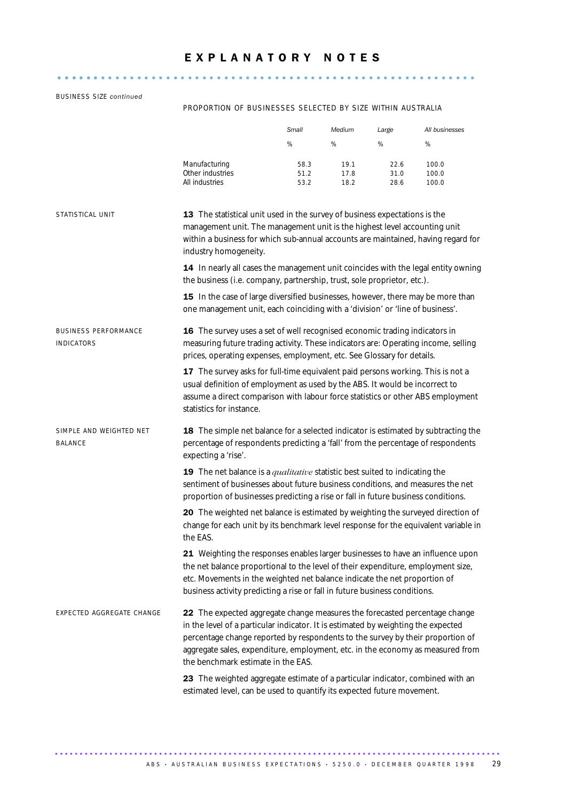.......................................................... ......

### BUSINESS SIZE *continued*

### PROPORTION OF BUSINESSES SELECTED BY SIZE WITHIN AUSTRALIA

|                                                  |                                                                                                                                                                                                                                                                                                                                                                           | Small                | Medium               | Large                | All businesses          |  |  |
|--------------------------------------------------|---------------------------------------------------------------------------------------------------------------------------------------------------------------------------------------------------------------------------------------------------------------------------------------------------------------------------------------------------------------------------|----------------------|----------------------|----------------------|-------------------------|--|--|
|                                                  |                                                                                                                                                                                                                                                                                                                                                                           | $\%$                 | %                    | $\%$                 | %                       |  |  |
|                                                  | Manufacturing<br>Other industries<br>All industries                                                                                                                                                                                                                                                                                                                       | 58.3<br>51.2<br>53.2 | 19.1<br>17.8<br>18.2 | 22.6<br>31.0<br>28.6 | 100.0<br>100.0<br>100.0 |  |  |
| STATISTICAL UNIT                                 | 13 The statistical unit used in the survey of business expectations is the<br>management unit. The management unit is the highest level accounting unit<br>within a business for which sub-annual accounts are maintained, having regard for<br>industry homogeneity.                                                                                                     |                      |                      |                      |                         |  |  |
|                                                  | 14 In nearly all cases the management unit coincides with the legal entity owning<br>the business (i.e. company, partnership, trust, sole proprietor, etc.).                                                                                                                                                                                                              |                      |                      |                      |                         |  |  |
|                                                  | 15 In the case of large diversified businesses, however, there may be more than<br>one management unit, each coinciding with a 'division' or 'line of business'.                                                                                                                                                                                                          |                      |                      |                      |                         |  |  |
| <b>BUSINESS PERFORMANCE</b><br><b>INDICATORS</b> | 16 The survey uses a set of well recognised economic trading indicators in<br>measuring future trading activity. These indicators are: Operating income, selling<br>prices, operating expenses, employment, etc. See Glossary for details.                                                                                                                                |                      |                      |                      |                         |  |  |
|                                                  | 17 The survey asks for full-time equivalent paid persons working. This is not a<br>usual definition of employment as used by the ABS. It would be incorrect to<br>assume a direct comparison with labour force statistics or other ABS employment<br>statistics for instance.                                                                                             |                      |                      |                      |                         |  |  |
| SIMPLE AND WEIGHTED NET<br>BALANCE               | 18 The simple net balance for a selected indicator is estimated by subtracting the<br>percentage of respondents predicting a 'fall' from the percentage of respondents<br>expecting a 'rise'.                                                                                                                                                                             |                      |                      |                      |                         |  |  |
|                                                  | 19 The net balance is a <i>qualitative</i> statistic best suited to indicating the<br>sentiment of businesses about future business conditions, and measures the net<br>proportion of businesses predicting a rise or fall in future business conditions.                                                                                                                 |                      |                      |                      |                         |  |  |
|                                                  | 20 The weighted net balance is estimated by weighting the surveyed direction of<br>change for each unit by its benchmark level response for the equivalent variable in<br>the EAS.                                                                                                                                                                                        |                      |                      |                      |                         |  |  |
|                                                  | 21 Weighting the responses enables larger businesses to have an influence upon<br>the net balance proportional to the level of their expenditure, employment size,<br>etc. Movements in the weighted net balance indicate the net proportion of<br>business activity predicting a rise or fall in future business conditions.                                             |                      |                      |                      |                         |  |  |
| EXPECTED AGGREGATE CHANGE                        | 22 The expected aggregate change measures the forecasted percentage change<br>in the level of a particular indicator. It is estimated by weighting the expected<br>percentage change reported by respondents to the survey by their proportion of<br>aggregate sales, expenditure, employment, etc. in the economy as measured from<br>the benchmark estimate in the EAS. |                      |                      |                      |                         |  |  |
|                                                  | 23 The weighted aggregate estimate of a particular indicator, combined with an<br>estimated level, can be used to quantify its expected future movement.                                                                                                                                                                                                                  |                      |                      |                      |                         |  |  |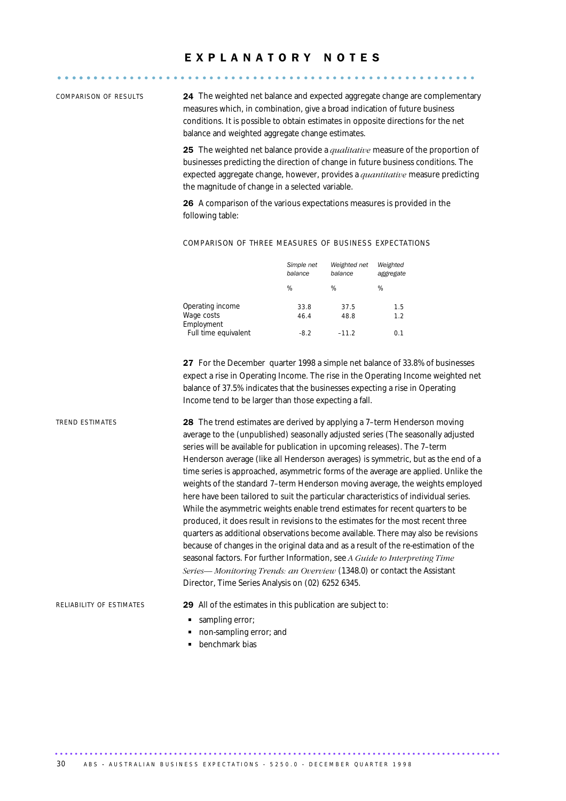# E X P L A N A T O R Y N O T E S .......................................................... ......

COMPARISON OF RESULTS 24 The weighted net balance and expected aggregate change are complementary measures which, in combination, give a broad indication of future business conditions. It is possible to obtain estimates in opposite directions for the net balance and weighted aggregate change estimates.

> 25 The weighted net balance provide a *qualitative* measure of the proportion of businesses predicting the direction of change in future business conditions. The expected aggregate change, however, provides a *quantitative* measure predicting the magnitude of change in a selected variable.

26 A comparison of the various expectations measures is provided in the following table:

### COMPARISON OF THREE MEASURES OF BUSINESS EXPECTATIONS

|                          | Simple net<br>balance | Weighted net<br>balance | Weighted<br>aggregate |
|--------------------------|-----------------------|-------------------------|-----------------------|
|                          | %                     | ℅                       | ℅                     |
| Operating income         | 33.8                  | 37.5                    | 1.5                   |
| Wage costs<br>Employment | 46.4                  | 48.8                    | 1.2 <sub>2</sub>      |
| Full time equivalent     | $-8.2$                | $-11.2$                 | 0.1                   |

27 For the December quarter 1998 a simple net balance of 33.8% of businesses expect a rise in Operating Income. The rise in the Operating Income weighted net balance of 37.5% indicates that the businesses expecting a rise in Operating Income tend to be larger than those expecting a fall.

TREND ESTIMATES 28 The trend estimates are derived by applying a 7–term Henderson moving average to the (unpublished) seasonally adjusted series (The seasonally adjusted series will be available for publication in upcoming releases). The 7–term Henderson average (like all Henderson averages) is symmetric, but as the end of a time series is approached, asymmetric forms of the average are applied. Unlike the weights of the standard 7–term Henderson moving average, the weights employed here have been tailored to suit the particular characteristics of individual series. While the asymmetric weights enable trend estimates for recent quarters to be produced, it does result in revisions to the estimates for the most recent three quarters as additional observations become available. There may also be revisions because of changes in the original data and as a result of the re-estimation of the seasonal factors. For further Information, see *A Guide to Interpreting Time Series— Monitoring Trends: an Overview* (1348.0) or contact the Assistant Director, Time Series Analysis on (02) 6252 6345.

RELIABILITY OF ESTIMATES 29 All of the estimates in this publication are subject to:

- sampling error;
- non-sampling error; and
- **benchmark bias**

30 A B S • AU STRALIAN BUSINESS EXPECTATIONS • 5250.0 • DECEMBER QUARTER 1998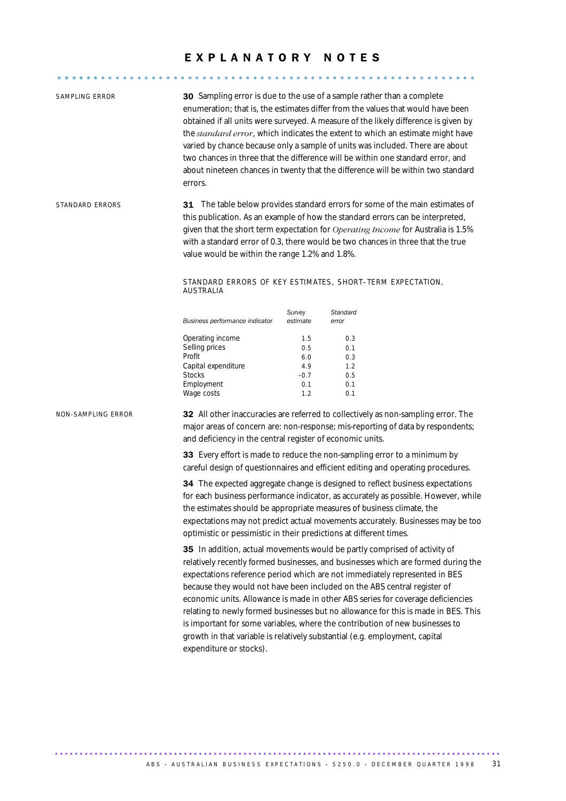## EXPLANATORY NOTES

| SAMPLING ERROR     | 30 Sampling error is due to the use of a sample rather than a complete<br>enumeration; that is, the estimates differ from the values that would have been<br>obtained if all units were surveyed. A measure of the likely difference is given by<br>the standard error, which indicates the extent to which an estimate might have<br>varied by chance because only a sample of units was included. There are about<br>two chances in three that the difference will be within one standard error, and<br>about nineteen chances in twenty that the difference will be within two standard<br>errors.          |                                                                                                                                                                                                                                                                                                                                                                                          |                                               |  |  |  |
|--------------------|----------------------------------------------------------------------------------------------------------------------------------------------------------------------------------------------------------------------------------------------------------------------------------------------------------------------------------------------------------------------------------------------------------------------------------------------------------------------------------------------------------------------------------------------------------------------------------------------------------------|------------------------------------------------------------------------------------------------------------------------------------------------------------------------------------------------------------------------------------------------------------------------------------------------------------------------------------------------------------------------------------------|-----------------------------------------------|--|--|--|
| STANDARD ERRORS    | STANDARD ERRORS OF KEY ESTIMATES, SHORT-TERM EXPECTATION,                                                                                                                                                                                                                                                                                                                                                                                                                                                                                                                                                      | 31 The table below provides standard errors for some of the main estimates of<br>this publication. As an example of how the standard errors can be interpreted,<br>given that the short term expectation for Operating Income for Australia is 1.5%<br>with a standard error of 0.3, there would be two chances in three that the true<br>value would be within the range 1.2% and 1.8%. |                                               |  |  |  |
|                    | AUSTRALIA                                                                                                                                                                                                                                                                                                                                                                                                                                                                                                                                                                                                      |                                                                                                                                                                                                                                                                                                                                                                                          |                                               |  |  |  |
|                    | Business performance indicator                                                                                                                                                                                                                                                                                                                                                                                                                                                                                                                                                                                 | Survey<br>estimate                                                                                                                                                                                                                                                                                                                                                                       | Standard<br>error                             |  |  |  |
|                    | Operating income<br>Selling prices<br>Profit<br>Capital expenditure<br><b>Stocks</b><br>Employment<br>Wage costs                                                                                                                                                                                                                                                                                                                                                                                                                                                                                               | 1.5<br>0.5<br>6.0<br>4.9<br>$-0.7$<br>0.1<br>1.2                                                                                                                                                                                                                                                                                                                                         | 0.3<br>0.1<br>0.3<br>1.2<br>0.5<br>0.1<br>0.1 |  |  |  |
| NON-SAMPLING ERROR | 32 All other inaccuracies are referred to collectively as non-sampling error. The<br>major areas of concern are: non-response; mis-reporting of data by respondents;<br>and deficiency in the central register of economic units.<br>33 Every effort is made to reduce the non-sampling error to a minimum by                                                                                                                                                                                                                                                                                                  |                                                                                                                                                                                                                                                                                                                                                                                          |                                               |  |  |  |
|                    | careful design of questionnaires and efficient editing and operating procedures.<br>34 The expected aggregate change is designed to reflect business expectations<br>for each business performance indicator, as accurately as possible. However, while<br>the estimates should be appropriate measures of business climate, the<br>expectations may not predict actual movements accurately. Businesses may be too<br>optimistic or pessimistic in their predictions at different times.<br>35 In addition, actual movements would be partly comprised of activity of                                         |                                                                                                                                                                                                                                                                                                                                                                                          |                                               |  |  |  |
|                    | relatively recently formed businesses, and businesses which are formed during the<br>expectations reference period which are not immediately represented in BES<br>because they would not have been included on the ABS central register of<br>economic units. Allowance is made in other ABS series for coverage deficiencies<br>relating to newly formed businesses but no allowance for this is made in BES. This<br>is important for some variables, where the contribution of new businesses to<br>growth in that variable is relatively substantial (e.g. employment, capital<br>expenditure or stocks). |                                                                                                                                                                                                                                                                                                                                                                                          |                                               |  |  |  |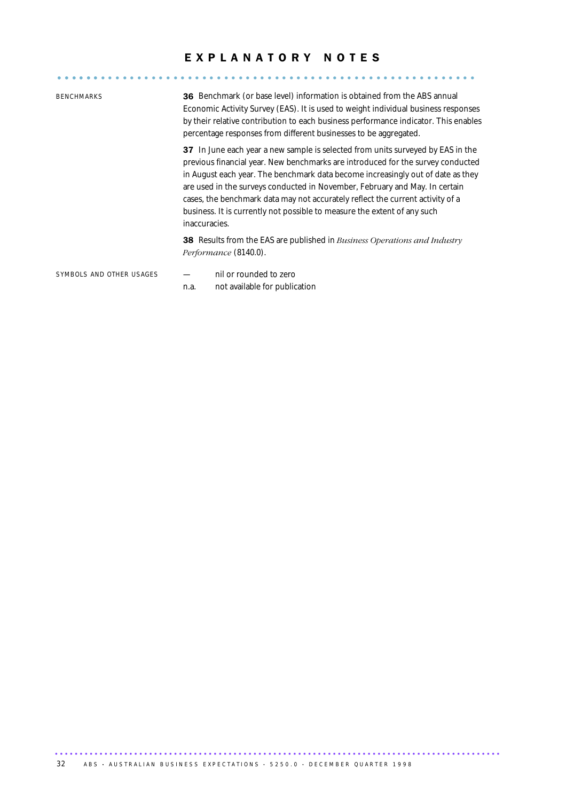## EXPLANATORY NOTES

| <b>BENCHMARKS</b>        | <b>36</b> Benchmark (or base level) information is obtained from the ABS annual<br>Economic Activity Survey (EAS). It is used to weight individual business responses<br>by their relative contribution to each business performance indicator. This enables<br>percentage responses from different businesses to be aggregated.                                                                                                                                                                                    |  |  |  |  |  |
|--------------------------|---------------------------------------------------------------------------------------------------------------------------------------------------------------------------------------------------------------------------------------------------------------------------------------------------------------------------------------------------------------------------------------------------------------------------------------------------------------------------------------------------------------------|--|--|--|--|--|
|                          | 37 In June each year a new sample is selected from units surveyed by EAS in the<br>previous financial year. New benchmarks are introduced for the survey conducted<br>in August each year. The benchmark data become increasingly out of date as they<br>are used in the surveys conducted in November, February and May. In certain<br>cases, the benchmark data may not accurately reflect the current activity of a<br>business. It is currently not possible to measure the extent of any such<br>inaccuracies. |  |  |  |  |  |
|                          | <b>38</b> Results from the EAS are published in <i>Business Operations and Industry</i><br>Performance (8140.0).                                                                                                                                                                                                                                                                                                                                                                                                    |  |  |  |  |  |
| SYMBOLS AND OTHER USAGES | nil or rounded to zero<br>not available for publication<br>n.a.                                                                                                                                                                                                                                                                                                                                                                                                                                                     |  |  |  |  |  |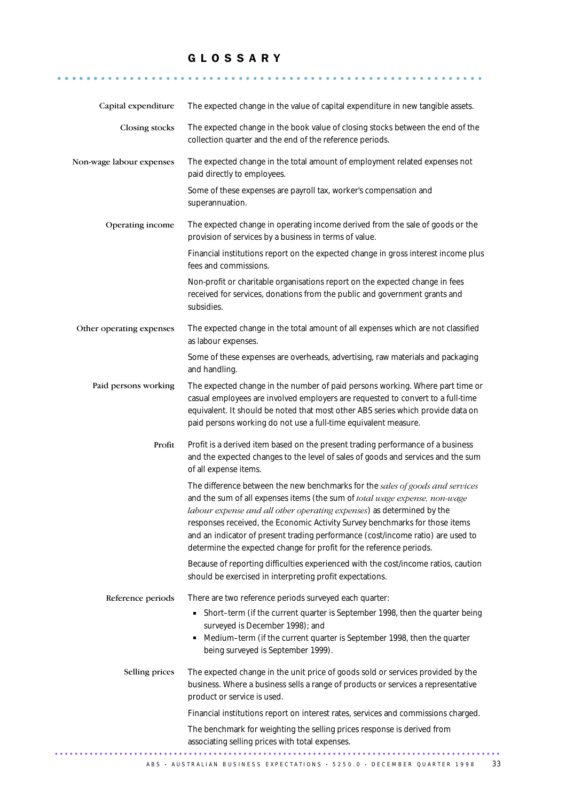## G L O S S A R Y

........................................................... ......

| Capital expenditure      | The expected change in the value of capital expenditure in new tangible assets.                                                                                                                                                                                                                                                                                                                                                                                               |  |  |  |
|--------------------------|-------------------------------------------------------------------------------------------------------------------------------------------------------------------------------------------------------------------------------------------------------------------------------------------------------------------------------------------------------------------------------------------------------------------------------------------------------------------------------|--|--|--|
| Closing stocks           | The expected change in the book value of closing stocks between the end of the<br>collection quarter and the end of the reference periods.                                                                                                                                                                                                                                                                                                                                    |  |  |  |
| Non-wage labour expenses | The expected change in the total amount of employment related expenses not<br>paid directly to employees.                                                                                                                                                                                                                                                                                                                                                                     |  |  |  |
|                          | Some of these expenses are payroll tax, worker's compensation and<br>superannuation.                                                                                                                                                                                                                                                                                                                                                                                          |  |  |  |
| Operating income         | The expected change in operating income derived from the sale of goods or the<br>provision of services by a business in terms of value.                                                                                                                                                                                                                                                                                                                                       |  |  |  |
|                          | Financial institutions report on the expected change in gross interest income plus<br>fees and commissions.                                                                                                                                                                                                                                                                                                                                                                   |  |  |  |
|                          | Non-profit or charitable organisations report on the expected change in fees<br>received for services, donations from the public and government grants and<br>subsidies.                                                                                                                                                                                                                                                                                                      |  |  |  |
| Other operating expenses | The expected change in the total amount of all expenses which are not classified<br>as labour expenses.                                                                                                                                                                                                                                                                                                                                                                       |  |  |  |
|                          | Some of these expenses are overheads, advertising, raw materials and packaging<br>and handling.                                                                                                                                                                                                                                                                                                                                                                               |  |  |  |
| Paid persons working     | The expected change in the number of paid persons working. Where part time or<br>casual employees are involved employers are requested to convert to a full-time<br>equivalent. It should be noted that most other ABS series which provide data on<br>paid persons working do not use a full-time equivalent measure.                                                                                                                                                        |  |  |  |
| Profit                   | Profit is a derived item based on the present trading performance of a business<br>and the expected changes to the level of sales of goods and services and the sum<br>of all expense items.                                                                                                                                                                                                                                                                                  |  |  |  |
|                          | The difference between the new benchmarks for the sales of goods and services<br>and the sum of all expenses items (the sum of total wage expense, non-wage<br>labour expense and all other operating expenses) as determined by the<br>responses received, the Economic Activity Survey benchmarks for those items<br>and an indicator of present trading performance (cost/income ratio) are used to<br>determine the expected change for profit for the reference periods. |  |  |  |
|                          | Because of reporting difficulties experienced with the cost/income ratios, caution<br>should be exercised in interpreting profit expectations.                                                                                                                                                                                                                                                                                                                                |  |  |  |
| Reference periods        | There are two reference periods surveyed each quarter:                                                                                                                                                                                                                                                                                                                                                                                                                        |  |  |  |
|                          | Short-term (if the current quarter is September 1998, then the quarter being<br>٠<br>surveyed is December 1998); and<br>Medium-term (if the current quarter is September 1998, then the quarter<br>٠<br>being surveyed is September 1999).                                                                                                                                                                                                                                    |  |  |  |
| Selling prices           | The expected change in the unit price of goods sold or services provided by the<br>business. Where a business sells a range of products or services a representative<br>product or service is used.                                                                                                                                                                                                                                                                           |  |  |  |
|                          | Financial institutions report on interest rates, services and commissions charged.                                                                                                                                                                                                                                                                                                                                                                                            |  |  |  |
|                          | The benchmark for weighting the selling prices response is derived from<br>associating selling prices with total expenses.                                                                                                                                                                                                                                                                                                                                                    |  |  |  |
|                          |                                                                                                                                                                                                                                                                                                                                                                                                                                                                               |  |  |  |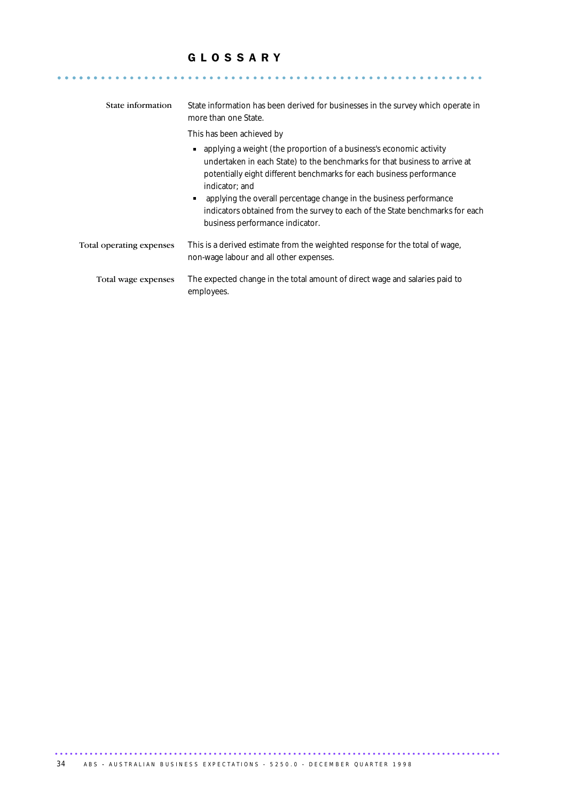## G L O S S A R Y

........................................................... ......

| State information        | State information has been derived for businesses in the survey which operate in<br>more than one State.                                                                                                                                                                                                                                                                                                                                 |  |
|--------------------------|------------------------------------------------------------------------------------------------------------------------------------------------------------------------------------------------------------------------------------------------------------------------------------------------------------------------------------------------------------------------------------------------------------------------------------------|--|
|                          | This has been achieved by                                                                                                                                                                                                                                                                                                                                                                                                                |  |
|                          | • applying a weight (the proportion of a business's economic activity<br>undertaken in each State) to the benchmarks for that business to arrive at<br>potentially eight different benchmarks for each business performance<br>indicator; and<br>• applying the overall percentage change in the business performance<br>indicators obtained from the survey to each of the State benchmarks for each<br>business performance indicator. |  |
| Total operating expenses | This is a derived estimate from the weighted response for the total of wage,<br>non-wage labour and all other expenses.                                                                                                                                                                                                                                                                                                                  |  |
| Total wage expenses      | The expected change in the total amount of direct wage and salaries paid to<br>employees.                                                                                                                                                                                                                                                                                                                                                |  |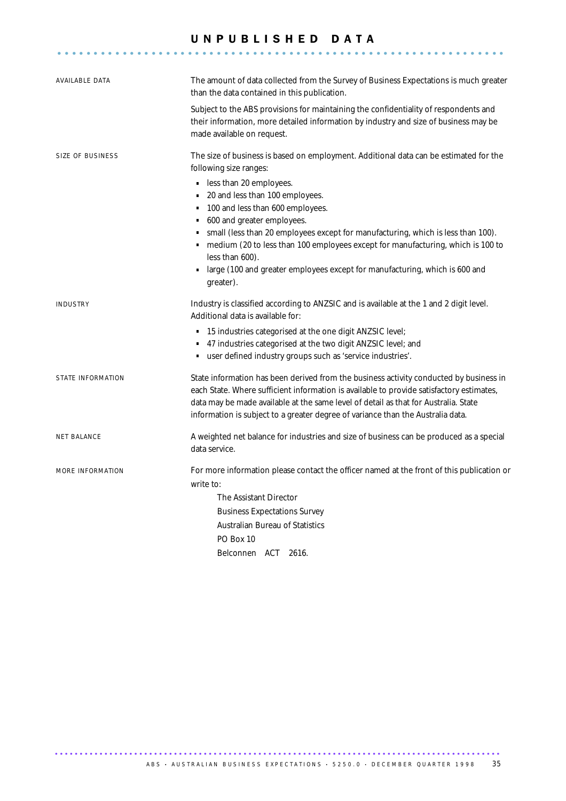### U N P U B L I S H E D D A T A ..............................................................

| AVAILABLE DATA    | The amount of data collected from the Survey of Business Expectations is much greater<br>than the data contained in this publication.                                                                                                                                                                                                                        |  |  |  |
|-------------------|--------------------------------------------------------------------------------------------------------------------------------------------------------------------------------------------------------------------------------------------------------------------------------------------------------------------------------------------------------------|--|--|--|
|                   | Subject to the ABS provisions for maintaining the confidentiality of respondents and<br>their information, more detailed information by industry and size of business may be<br>made available on request.                                                                                                                                                   |  |  |  |
| SIZE OF BUSINESS  | The size of business is based on employment. Additional data can be estimated for the<br>following size ranges:                                                                                                                                                                                                                                              |  |  |  |
|                   | less than 20 employees.<br>٠<br>20 and less than 100 employees.<br>٠<br>100 and less than 600 employees.<br>600 and greater employees.                                                                                                                                                                                                                       |  |  |  |
|                   | small (less than 20 employees except for manufacturing, which is less than 100).<br>medium (20 to less than 100 employees except for manufacturing, which is 100 to<br>$\blacksquare$<br>less than 600).                                                                                                                                                     |  |  |  |
|                   | large (100 and greater employees except for manufacturing, which is 600 and<br>greater).                                                                                                                                                                                                                                                                     |  |  |  |
| INDUSTRY          | Industry is classified according to ANZSIC and is available at the 1 and 2 digit level.<br>Additional data is available for:                                                                                                                                                                                                                                 |  |  |  |
|                   | 15 industries categorised at the one digit ANZSIC level;<br>$\blacksquare$<br>47 industries categorised at the two digit ANZSIC level; and<br>" user defined industry groups such as 'service industries'.                                                                                                                                                   |  |  |  |
| STATE INFORMATION | State information has been derived from the business activity conducted by business in<br>each State. Where sufficient information is available to provide satisfactory estimates,<br>data may be made available at the same level of detail as that for Australia. State<br>information is subject to a greater degree of variance than the Australia data. |  |  |  |
| NET BALANCE       | A weighted net balance for industries and size of business can be produced as a special<br>data service.                                                                                                                                                                                                                                                     |  |  |  |
| MORE INFORMATION  | For more information please contact the officer named at the front of this publication or<br>write to:                                                                                                                                                                                                                                                       |  |  |  |
|                   | The Assistant Director                                                                                                                                                                                                                                                                                                                                       |  |  |  |
|                   | <b>Business Expectations Survey</b>                                                                                                                                                                                                                                                                                                                          |  |  |  |
|                   | Australian Bureau of Statistics<br>PO Box 10                                                                                                                                                                                                                                                                                                                 |  |  |  |
|                   | Belconnen ACT 2616.                                                                                                                                                                                                                                                                                                                                          |  |  |  |
|                   |                                                                                                                                                                                                                                                                                                                                                              |  |  |  |